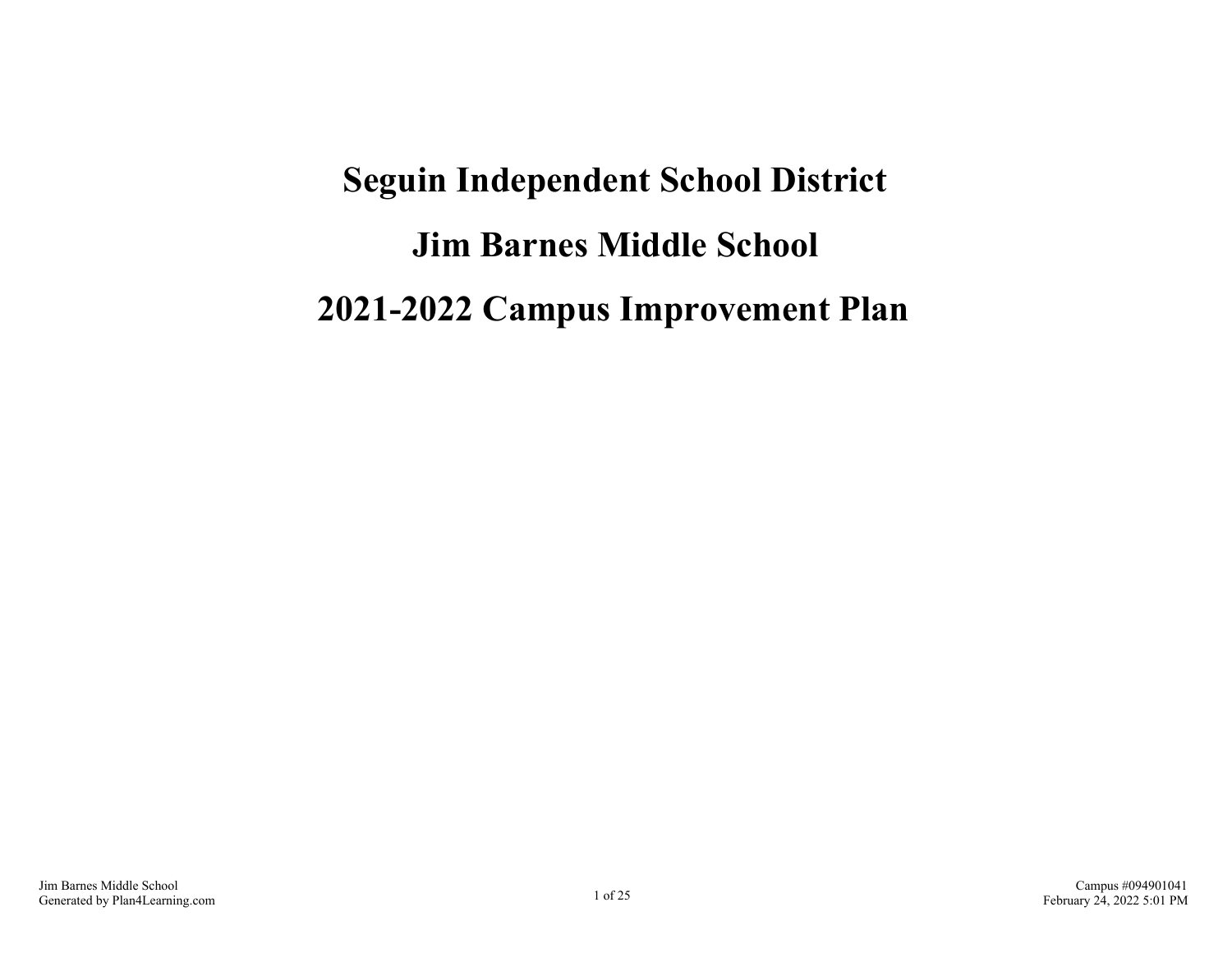# **Seguin Independent School District Jim Barnes Middle School 2021-2022 Campus Improvement Plan**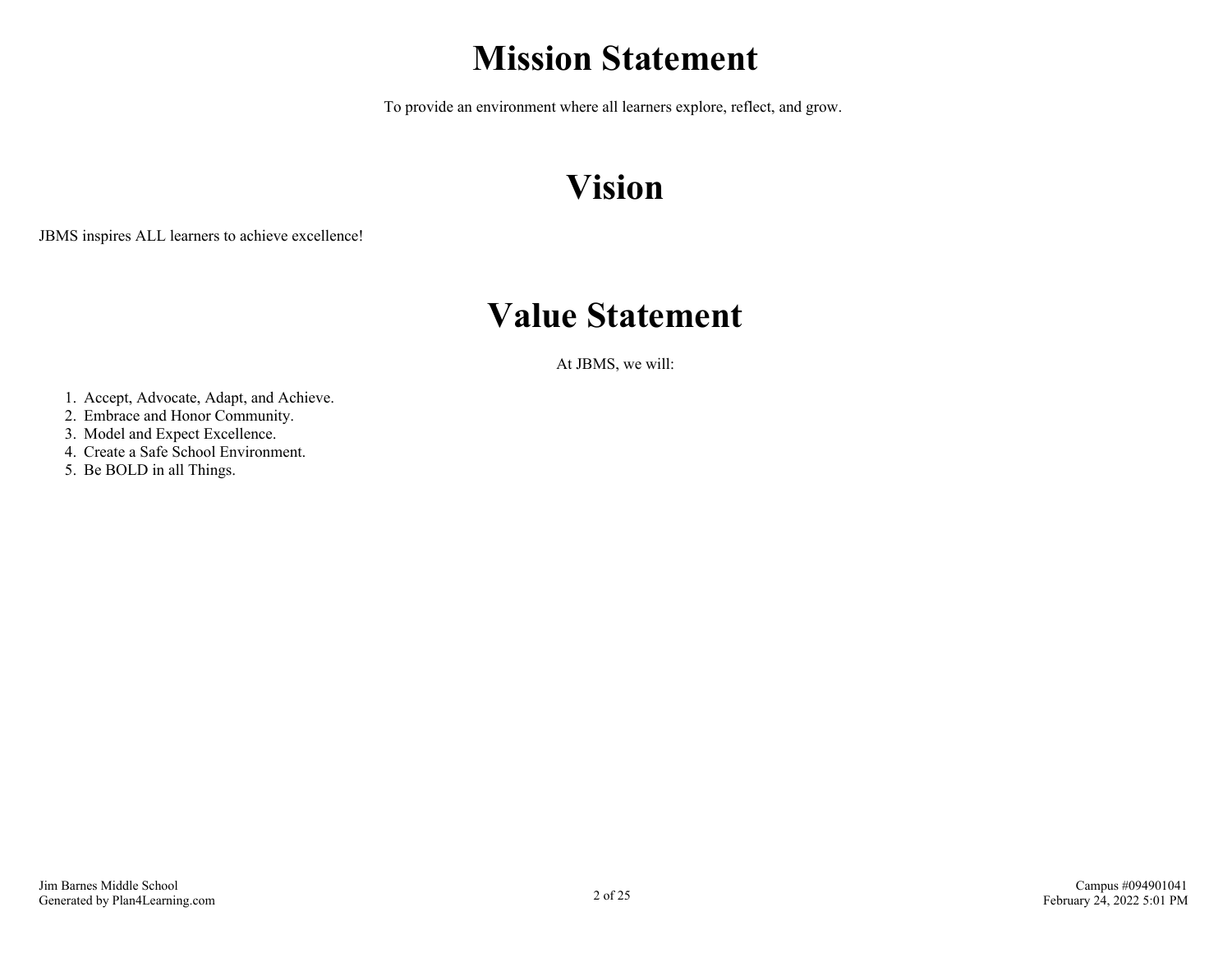## **Mission Statement**

To provide an environment where all learners explore, reflect, and grow.

# **Vision**

JBMS inspires ALL learners to achieve excellence!

## **Value Statement**

At JBMS, we will:

- 1. Accept, Advocate, Adapt, and Achieve.
- 2. Embrace and Honor Community.
- 3. Model and Expect Excellence.
- 4. Create a Safe School Environment.
- 5. Be BOLD in all Things.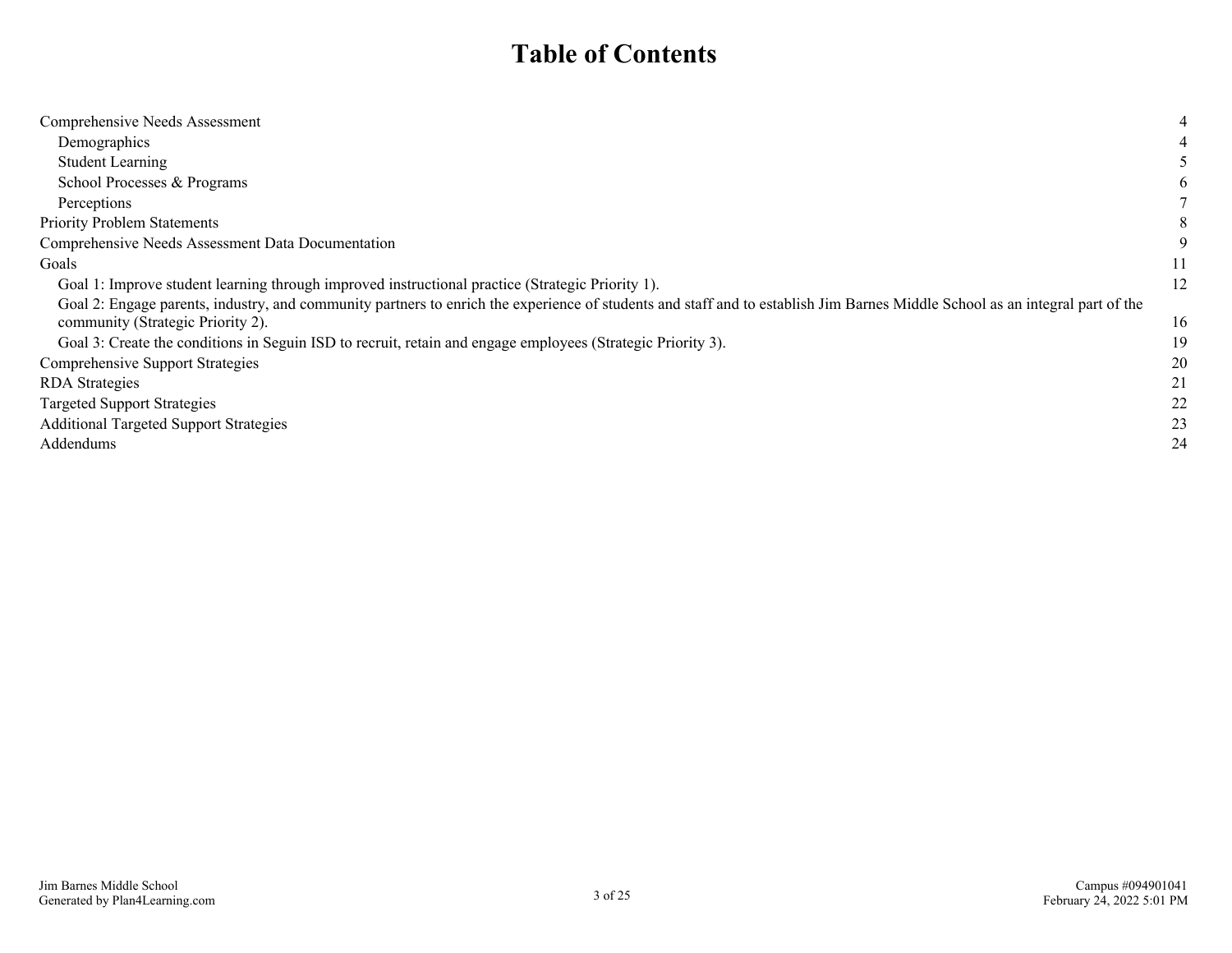### **Table of Contents**

| Comprehensive Needs Assessment                                                                                                                                               | 4  |
|------------------------------------------------------------------------------------------------------------------------------------------------------------------------------|----|
| Demographics                                                                                                                                                                 |    |
| <b>Student Learning</b>                                                                                                                                                      |    |
| School Processes & Programs                                                                                                                                                  | b  |
| Perceptions                                                                                                                                                                  |    |
| <b>Priority Problem Statements</b>                                                                                                                                           | 8  |
| Comprehensive Needs Assessment Data Documentation                                                                                                                            | 9  |
| Goals                                                                                                                                                                        |    |
| Goal 1: Improve student learning through improved instructional practice (Strategic Priority 1).                                                                             | 12 |
| Goal 2: Engage parents, industry, and community partners to enrich the experience of students and staff and to establish Jim Barnes Middle School as an integral part of the |    |
| community (Strategic Priority 2).                                                                                                                                            | 16 |
| Goal 3: Create the conditions in Seguin ISD to recruit, retain and engage employees (Strategic Priority 3).                                                                  | 19 |
| <b>Comprehensive Support Strategies</b>                                                                                                                                      | 20 |
| <b>RDA</b> Strategies                                                                                                                                                        | 21 |
| <b>Targeted Support Strategies</b>                                                                                                                                           | 22 |
| <b>Additional Targeted Support Strategies</b>                                                                                                                                | 23 |
| Addendums                                                                                                                                                                    | 24 |
|                                                                                                                                                                              |    |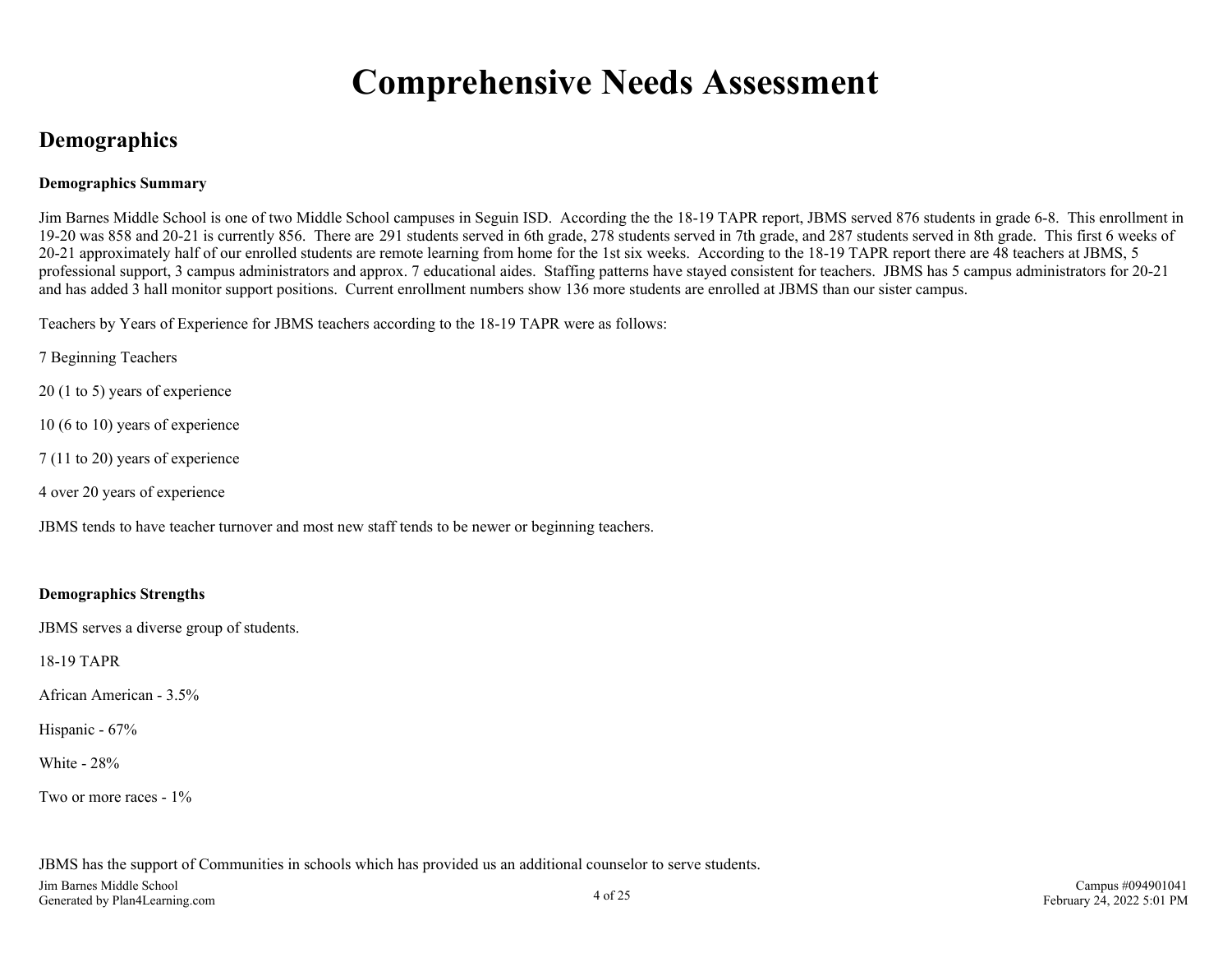## **Comprehensive Needs Assessment**

### <span id="page-3-0"></span>**Demographics**

### **Demographics Summary**

Jim Barnes Middle School is one of two Middle School campuses in Seguin ISD. According the the 18-19 TAPR report, JBMS served 876 students in grade 6-8. This enrollment in 19-20 was 858 and 20-21 is currently 856. There are 291 students served in 6th grade, 278 students served in 7th grade, and 287 students served in 8th grade. This first 6 weeks of 20-21 approximately half of our enrolled students are remote learning from home for the 1st six weeks. According to the 18-19 TAPR report there are 48 teachers at JBMS, 5 professional support, 3 campus administrators and approx. 7 educational aides. Staffing patterns have stayed consistent for teachers. JBMS has 5 campus administrators for 20-21 and has added 3 hall monitor support positions. Current enrollment numbers show 136 more students are enrolled at JBMS than our sister campus.

Teachers by Years of Experience for JBMS teachers according to the 18-19 TAPR were as follows:

7 Beginning Teachers

20 (1 to 5) years of experience

10 (6 to 10) years of experience

7 (11 to 20) years of experience

4 over 20 years of experience

JBMS tends to have teacher turnover and most new staff tends to be newer or beginning teachers.

### **Demographics Strengths**

JBMS serves a diverse group of students.

18-19 TAPR

African American - 3.5%

Hispanic - 67%

White - 28%

Two or more races - 1%

JBMS has the support of Communities in schools which has provided us an additional counselor to serve students.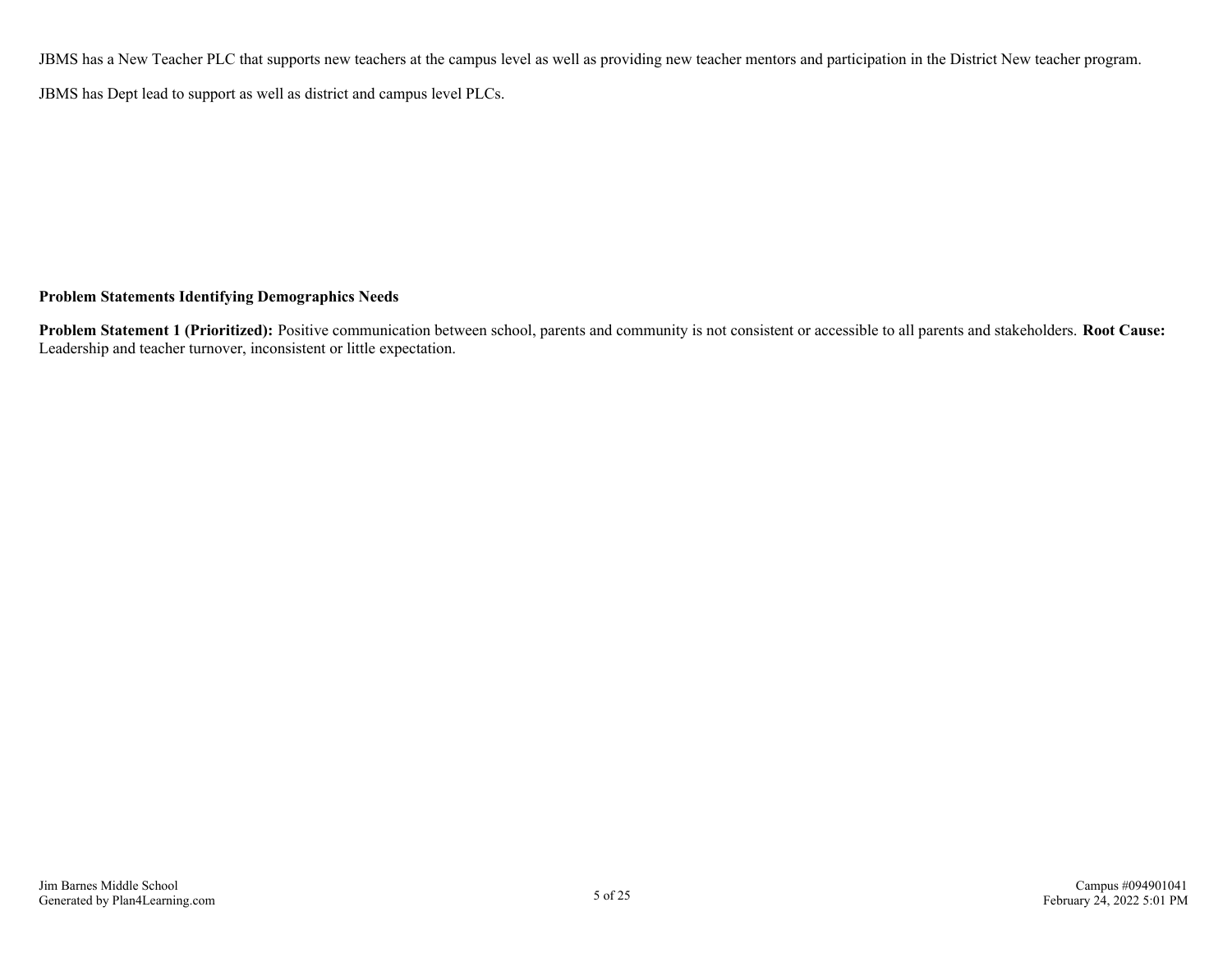JBMS has a New Teacher PLC that supports new teachers at the campus level as well as providing new teacher mentors and participation in the District New teacher program.

JBMS has Dept lead to support as well as district and campus level PLCs.

### **Problem Statements Identifying Demographics Needs**

**Problem Statement 1 (Prioritized):** Positive communication between school, parents and community is not consistent or accessible to all parents and stakeholders. **Root Cause:** Leadership and teacher turnover, inconsistent or little expectation.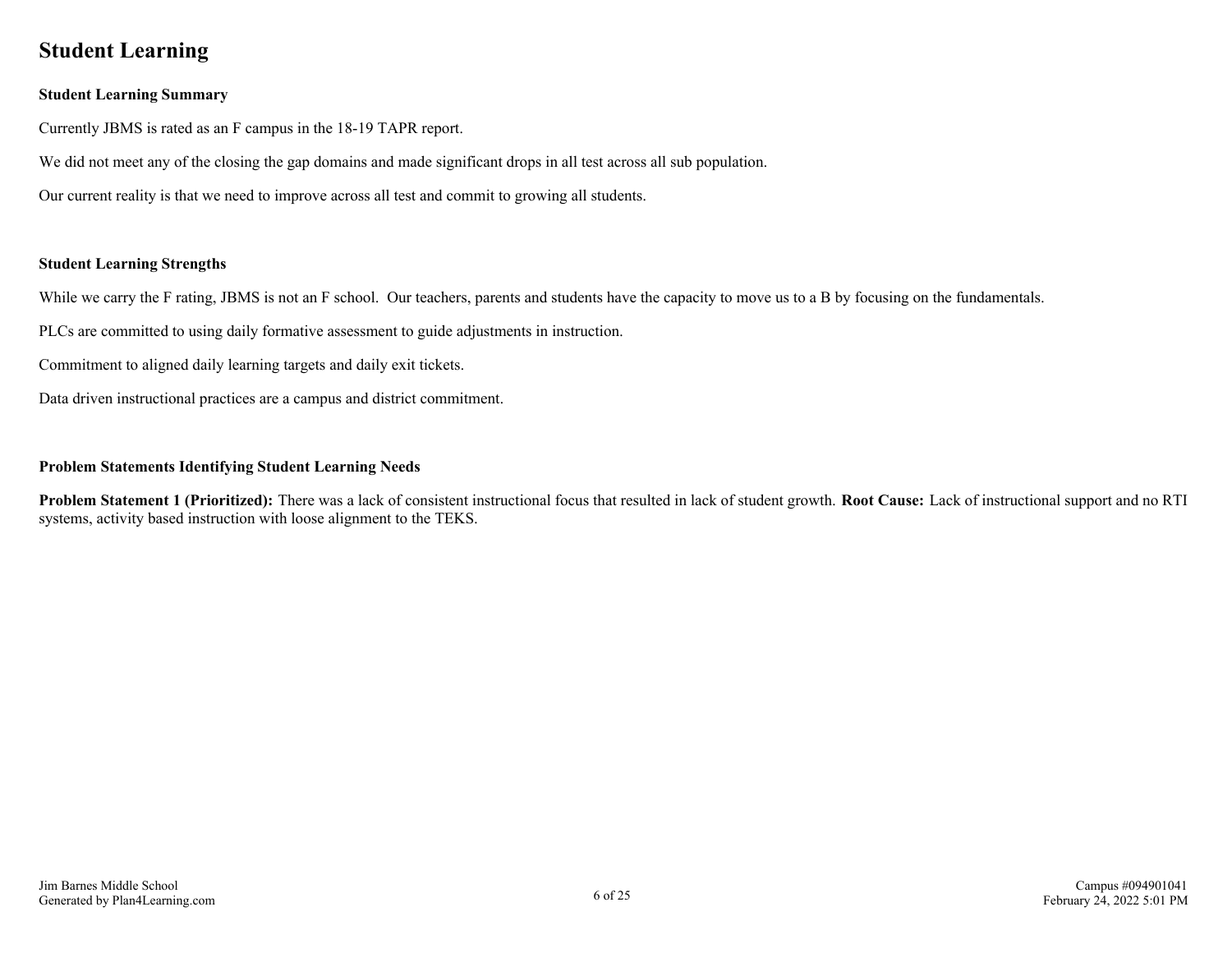### <span id="page-5-0"></span>**Student Learning**

### **Student Learning Summary**

Currently JBMS is rated as an F campus in the 18-19 TAPR report.

We did not meet any of the closing the gap domains and made significant drops in all test across all sub population.

Our current reality is that we need to improve across all test and commit to growing all students.

### **Student Learning Strengths**

While we carry the F rating, JBMS is not an F school. Our teachers, parents and students have the capacity to move us to a B by focusing on the fundamentals.

PLCs are committed to using daily formative assessment to guide adjustments in instruction.

Commitment to aligned daily learning targets and daily exit tickets.

Data driven instructional practices are a campus and district commitment.

### **Problem Statements Identifying Student Learning Needs**

**Problem Statement 1 (Prioritized):** There was a lack of consistent instructional focus that resulted in lack of student growth. **Root Cause:** Lack of instructional support and no RTI systems, activity based instruction with loose alignment to the TEKS.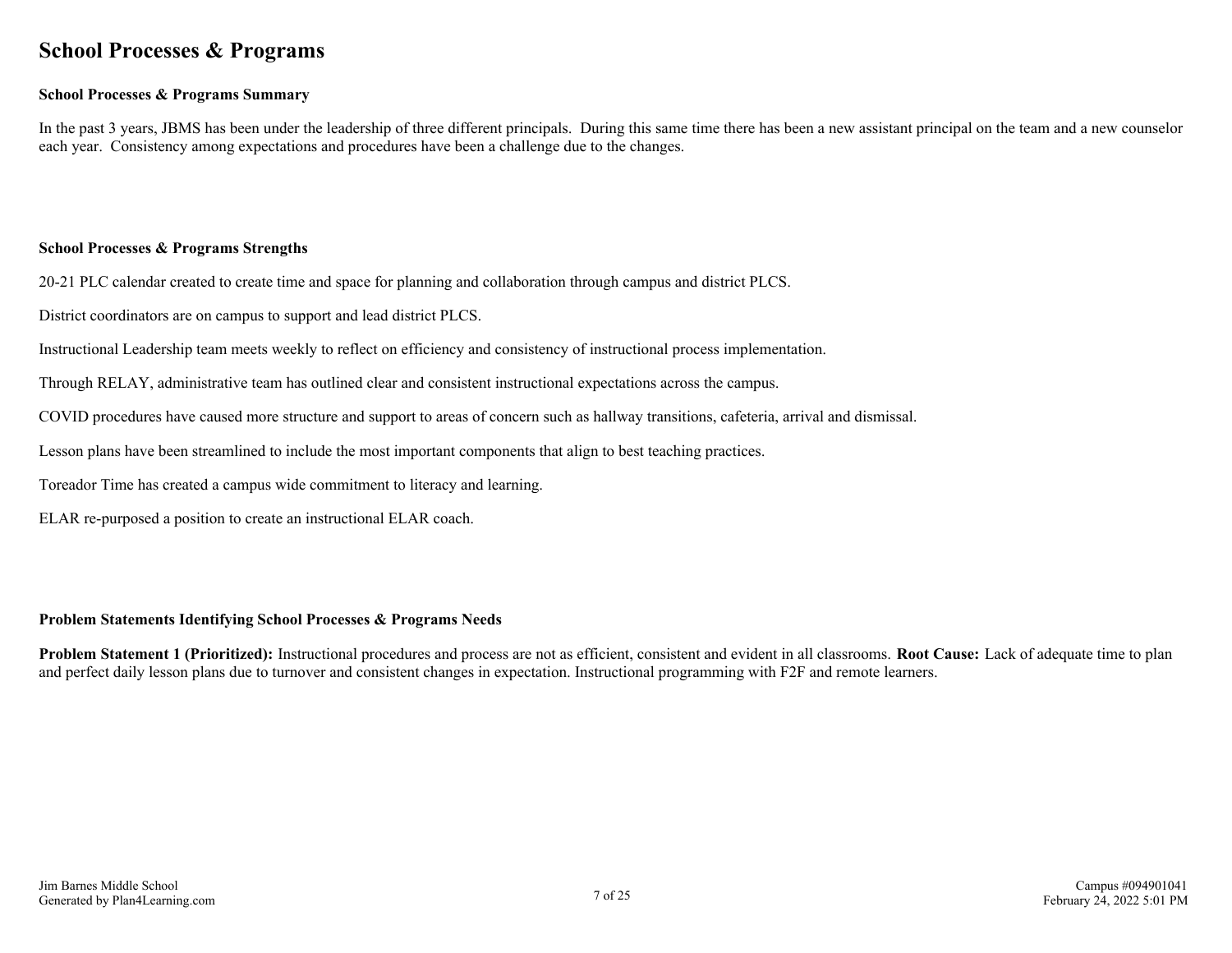### <span id="page-6-0"></span>**School Processes & Programs**

### **School Processes & Programs Summary**

In the past 3 years, JBMS has been under the leadership of three different principals. During this same time there has been a new assistant principal on the team and a new counselor each year. Consistency among expectations and procedures have been a challenge due to the changes.

#### **School Processes & Programs Strengths**

20-21 PLC calendar created to create time and space for planning and collaboration through campus and district PLCS.

District coordinators are on campus to support and lead district PLCS.

Instructional Leadership team meets weekly to reflect on efficiency and consistency of instructional process implementation.

Through RELAY, administrative team has outlined clear and consistent instructional expectations across the campus.

COVID procedures have caused more structure and support to areas of concern such as hallway transitions, cafeteria, arrival and dismissal.

Lesson plans have been streamlined to include the most important components that align to best teaching practices.

Toreador Time has created a campus wide commitment to literacy and learning.

ELAR re-purposed a position to create an instructional ELAR coach.

#### **Problem Statements Identifying School Processes & Programs Needs**

**Problem Statement 1 (Prioritized):** Instructional procedures and process are not as efficient, consistent and evident in all classrooms. **Root Cause:** Lack of adequate time to plan and perfect daily lesson plans due to turnover and consistent changes in expectation. Instructional programming with F2F and remote learners.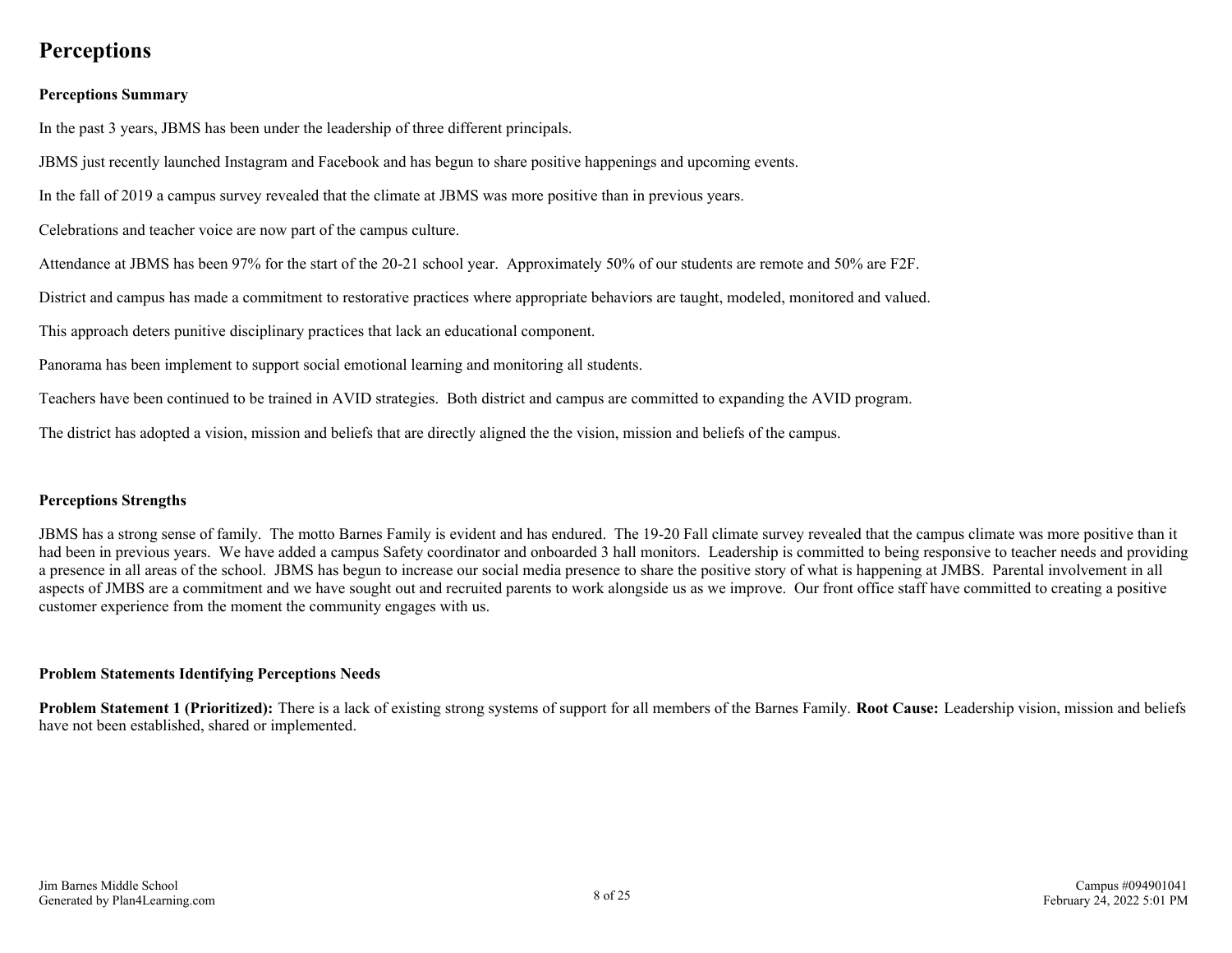### <span id="page-7-0"></span>**Perceptions**

### **Perceptions Summary**

In the past 3 years, JBMS has been under the leadership of three different principals.

JBMS just recently launched Instagram and Facebook and has begun to share positive happenings and upcoming events.

In the fall of 2019 a campus survey revealed that the climate at JBMS was more positive than in previous years.

Celebrations and teacher voice are now part of the campus culture.

Attendance at JBMS has been 97% for the start of the 20-21 school year. Approximately 50% of our students are remote and 50% are F2F.

District and campus has made a commitment to restorative practices where appropriate behaviors are taught, modeled, monitored and valued.

This approach deters punitive disciplinary practices that lack an educational component.

Panorama has been implement to support social emotional learning and monitoring all students.

Teachers have been continued to be trained in AVID strategies. Both district and campus are committed to expanding the AVID program.

The district has adopted a vision, mission and beliefs that are directly aligned the the vision, mission and beliefs of the campus.

#### **Perceptions Strengths**

JBMS has a strong sense of family. The motto Barnes Family is evident and has endured. The 19-20 Fall climate survey revealed that the campus climate was more positive than it had been in previous years. We have added a campus Safety coordinator and onboarded 3 hall monitors. Leadership is committed to being responsive to teacher needs and providing a presence in all areas of the school. JBMS has begun to increase our social media presence to share the positive story of what is happening at JMBS. Parental involvement in all aspects of JMBS are a commitment and we have sought out and recruited parents to work alongside us as we improve. Our front office staff have committed to creating a positive customer experience from the moment the community engages with us.

#### **Problem Statements Identifying Perceptions Needs**

**Problem Statement 1 (Prioritized):** There is a lack of existing strong systems of support for all members of the Barnes Family. **Root Cause:** Leadership vision, mission and beliefs have not been established, shared or implemented.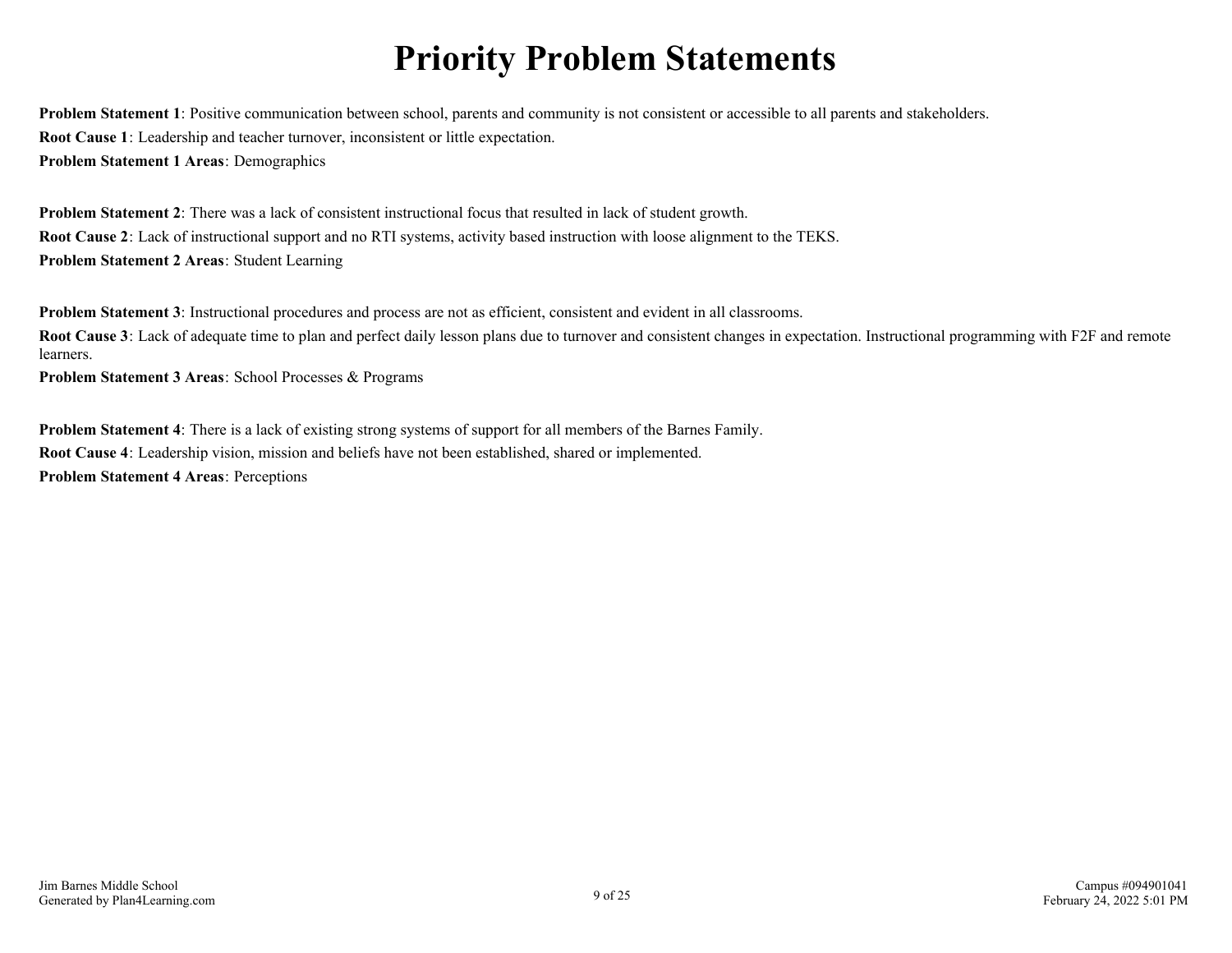# **Priority Problem Statements**

<span id="page-8-0"></span>**Problem Statement 1**: Positive communication between school, parents and community is not consistent or accessible to all parents and stakeholders. **Root Cause 1**: Leadership and teacher turnover, inconsistent or little expectation. **Problem Statement 1 Areas**: Demographics

**Problem Statement 2**: There was a lack of consistent instructional focus that resulted in lack of student growth. **Root Cause 2**: Lack of instructional support and no RTI systems, activity based instruction with loose alignment to the TEKS. **Problem Statement 2 Areas**: Student Learning

**Problem Statement 3**: Instructional procedures and process are not as efficient, consistent and evident in all classrooms.

**Root Cause 3**: Lack of adequate time to plan and perfect daily lesson plans due to turnover and consistent changes in expectation. Instructional programming with F2F and remote learners.

**Problem Statement 3 Areas**: School Processes & Programs

**Problem Statement 4**: There is a lack of existing strong systems of support for all members of the Barnes Family. **Root Cause 4**: Leadership vision, mission and beliefs have not been established, shared or implemented. **Problem Statement 4 Areas**: Perceptions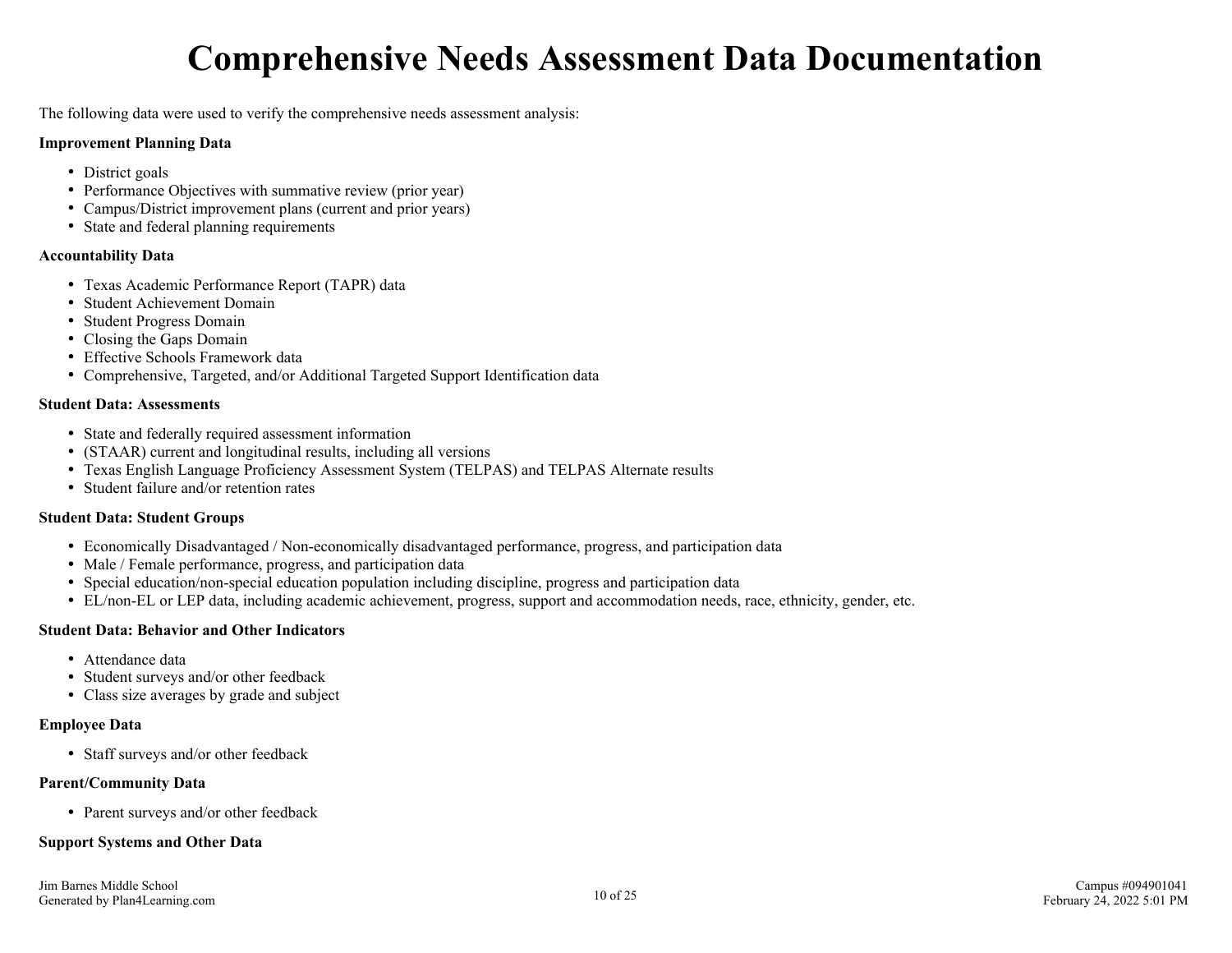# **Comprehensive Needs Assessment Data Documentation**

<span id="page-9-0"></span>The following data were used to verify the comprehensive needs assessment analysis:

#### **Improvement Planning Data**

- District goals
- Performance Objectives with summative review (prior year)
- Campus/District improvement plans (current and prior years)
- State and federal planning requirements

### **Accountability Data**

- Texas Academic Performance Report (TAPR) data
- Student Achievement Domain
- Student Progress Domain
- Closing the Gaps Domain
- Effective Schools Framework data
- Comprehensive, Targeted, and/or Additional Targeted Support Identification data

### **Student Data: Assessments**

- State and federally required assessment information
- (STAAR) current and longitudinal results, including all versions
- Texas English Language Proficiency Assessment System (TELPAS) and TELPAS Alternate results
- Student failure and/or retention rates

### **Student Data: Student Groups**

- Economically Disadvantaged / Non-economically disadvantaged performance, progress, and participation data
- Male / Female performance, progress, and participation data
- Special education/non-special education population including discipline, progress and participation data
- EL/non-EL or LEP data, including academic achievement, progress, support and accommodation needs, race, ethnicity, gender, etc.

### **Student Data: Behavior and Other Indicators**

- Attendance data
- Student surveys and/or other feedback
- Class size averages by grade and subject

### **Employee Data**

• Staff surveys and/or other feedback

### **Parent/Community Data**

• Parent surveys and/or other feedback

### **Support Systems and Other Data**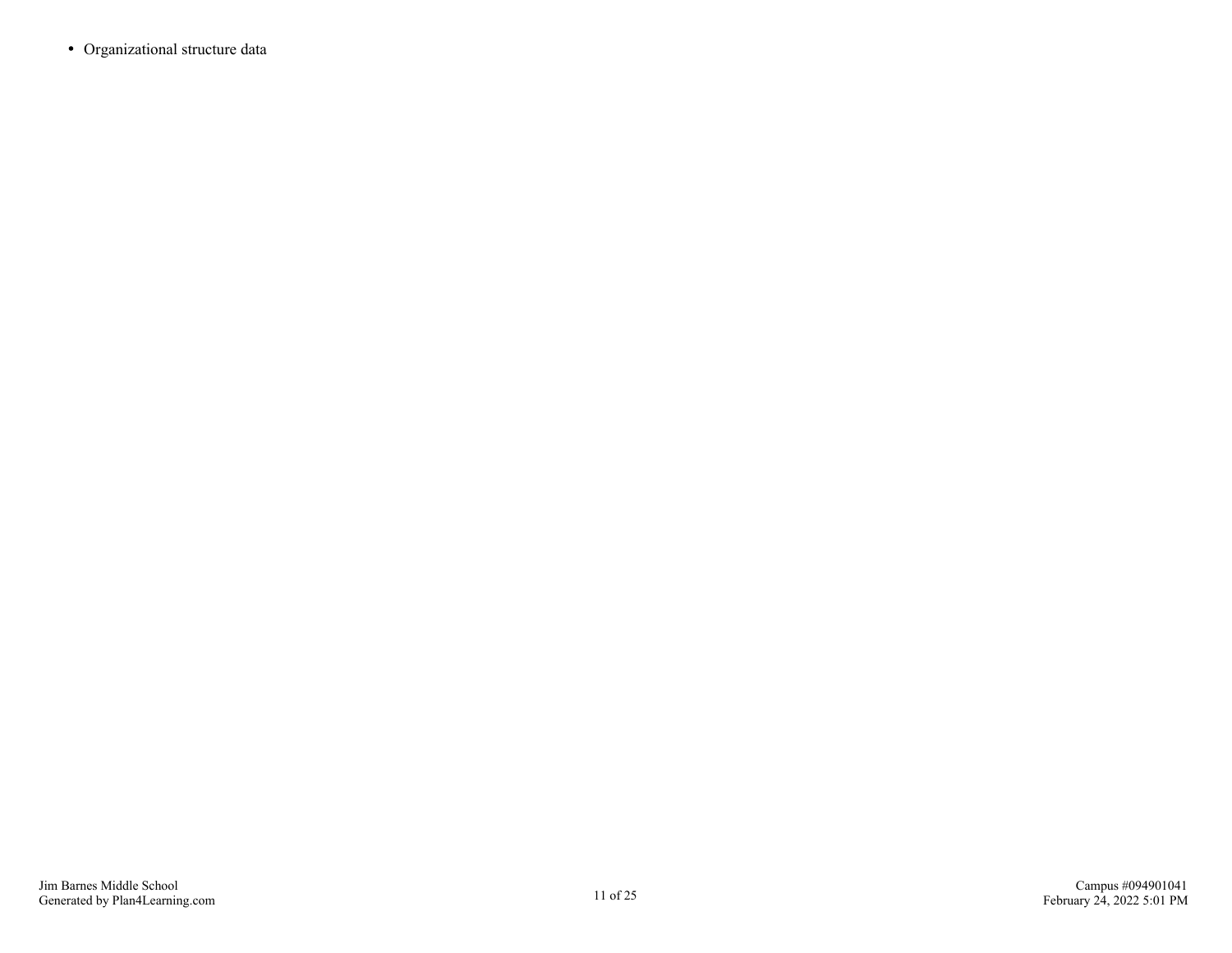Organizational structure data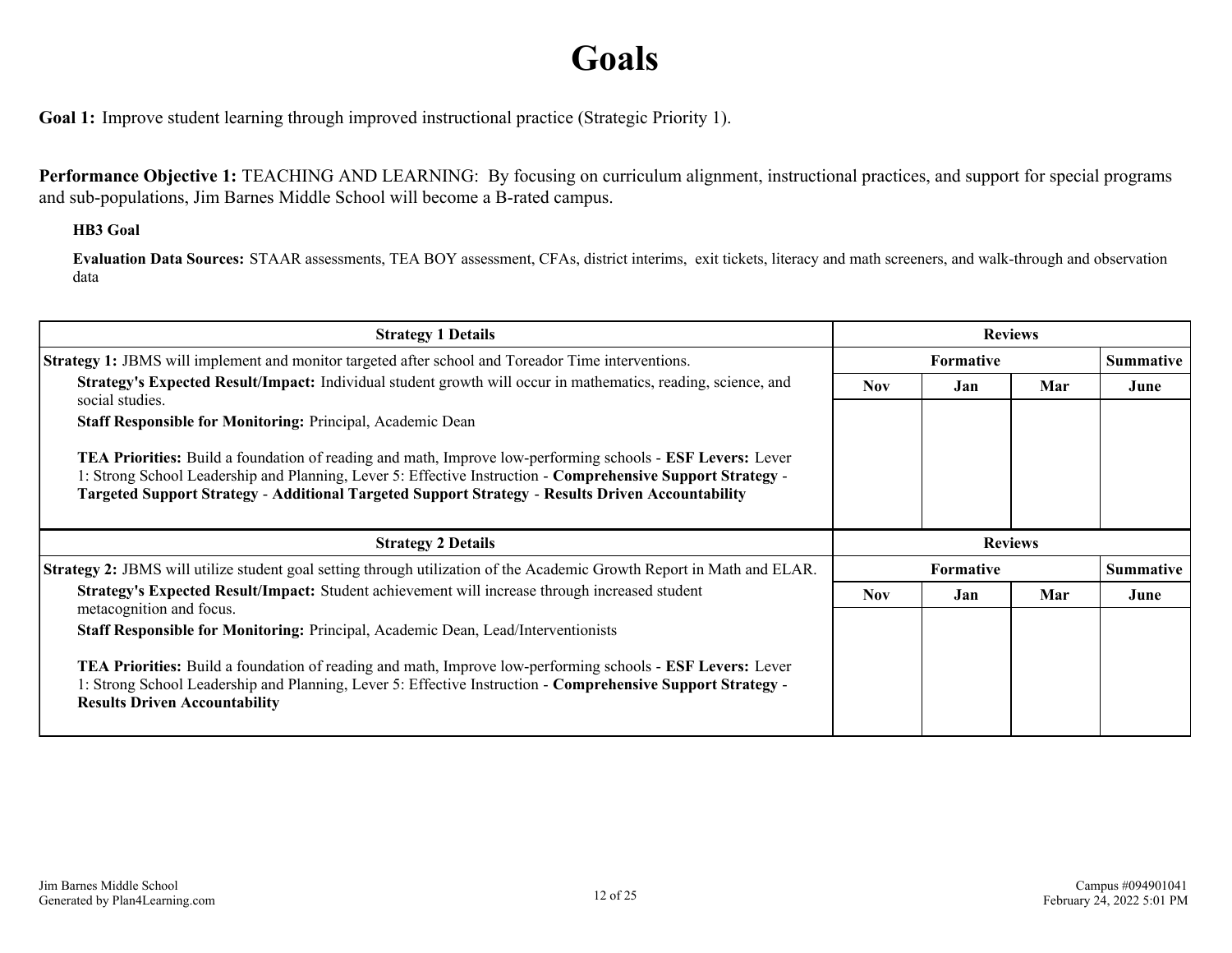# **Goals**

<span id="page-11-0"></span>**Goal 1:** Improve student learning through improved instructional practice (Strategic Priority 1).

**Performance Objective 1:** TEACHING AND LEARNING: By focusing on curriculum alignment, instructional practices, and support for special programs and sub-populations, Jim Barnes Middle School will become a B-rated campus.

### **HB3 Goal**

**Evaluation Data Sources:** STAAR assessments, TEA BOY assessment, CFAs, district interims, exit tickets, literacy and math screeners, and walk-through and observation data

| <b>Strategy 1 Details</b>                                                                                                                                                                                                                                                                                                                   |                                  |                  | <b>Reviews</b> |           |  |
|---------------------------------------------------------------------------------------------------------------------------------------------------------------------------------------------------------------------------------------------------------------------------------------------------------------------------------------------|----------------------------------|------------------|----------------|-----------|--|
| <b>Strategy 1: JBMS</b> will implement and monitor targeted after school and Toreador Time interventions.                                                                                                                                                                                                                                   | <b>Formative</b>                 |                  |                | Summative |  |
| Strategy's Expected Result/Impact: Individual student growth will occur in mathematics, reading, science, and<br>social studies.                                                                                                                                                                                                            | Mar<br><b>Nov</b><br>Jan<br>June |                  |                |           |  |
| <b>Staff Responsible for Monitoring: Principal, Academic Dean</b>                                                                                                                                                                                                                                                                           |                                  |                  |                |           |  |
| <b>TEA Priorities:</b> Build a foundation of reading and math, Improve low-performing schools - <b>ESF Levers:</b> Lever<br>1: Strong School Leadership and Planning, Lever 5: Effective Instruction - Comprehensive Support Strategy -<br>Targeted Support Strategy - Additional Targeted Support Strategy - Results Driven Accountability |                                  |                  |                |           |  |
|                                                                                                                                                                                                                                                                                                                                             |                                  |                  |                |           |  |
| <b>Strategy 2 Details</b>                                                                                                                                                                                                                                                                                                                   |                                  |                  | <b>Reviews</b> |           |  |
| <b>Strategy 2:</b> JBMS will utilize student goal setting through utilization of the Academic Growth Report in Math and ELAR.                                                                                                                                                                                                               |                                  | <b>Formative</b> |                | Summative |  |
| Strategy's Expected Result/Impact: Student achievement will increase through increased student<br>metacognition and focus.                                                                                                                                                                                                                  | <b>Nov</b>                       | Jan              | Mar            | June      |  |
| Staff Responsible for Monitoring: Principal, Academic Dean, Lead/Interventionists                                                                                                                                                                                                                                                           |                                  |                  |                |           |  |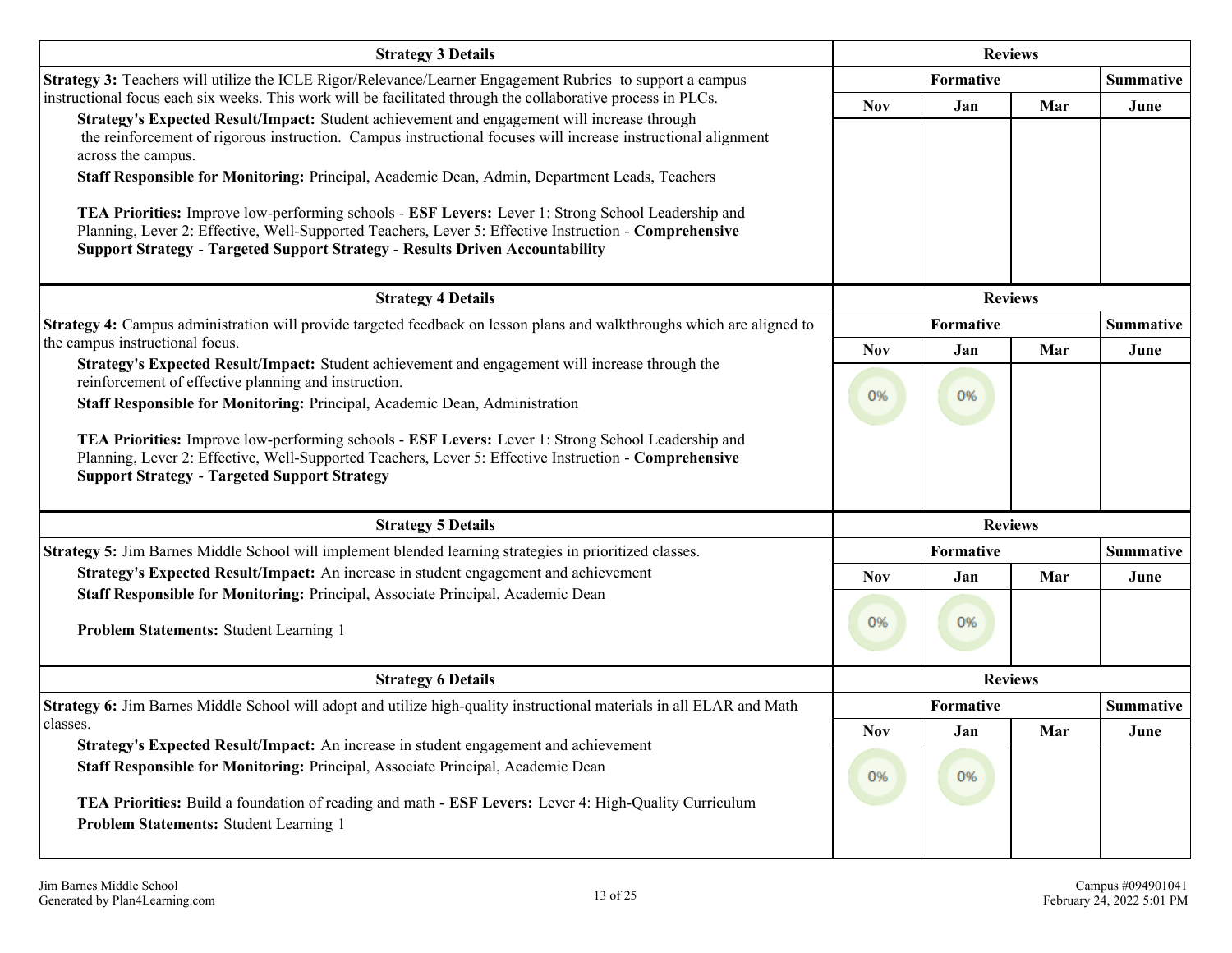| <b>Strategy 3 Details</b>                                                                                                                                                                                                                                                                                                                                                                                                                                                                                                                                                                                                                                                                                                                                 | <b>Reviews</b>   |                         |                |                          |  |  |                  |
|-----------------------------------------------------------------------------------------------------------------------------------------------------------------------------------------------------------------------------------------------------------------------------------------------------------------------------------------------------------------------------------------------------------------------------------------------------------------------------------------------------------------------------------------------------------------------------------------------------------------------------------------------------------------------------------------------------------------------------------------------------------|------------------|-------------------------|----------------|--------------------------|--|--|------------------|
| Strategy 3: Teachers will utilize the ICLE Rigor/Relevance/Learner Engagement Rubrics to support a campus                                                                                                                                                                                                                                                                                                                                                                                                                                                                                                                                                                                                                                                 | Formative        |                         |                |                          |  |  | <b>Summative</b> |
| instructional focus each six weeks. This work will be facilitated through the collaborative process in PLCs.<br>Strategy's Expected Result/Impact: Student achievement and engagement will increase through<br>the reinforcement of rigorous instruction. Campus instructional focuses will increase instructional alignment<br>across the campus.<br>Staff Responsible for Monitoring: Principal, Academic Dean, Admin, Department Leads, Teachers<br>TEA Priorities: Improve low-performing schools - ESF Levers: Lever 1: Strong School Leadership and<br>Planning, Lever 2: Effective, Well-Supported Teachers, Lever 5: Effective Instruction - Comprehensive<br><b>Support Strategy - Targeted Support Strategy - Results Driven Accountability</b> | <b>Nov</b>       | Jan                     | Mar            | June                     |  |  |                  |
| <b>Strategy 4 Details</b>                                                                                                                                                                                                                                                                                                                                                                                                                                                                                                                                                                                                                                                                                                                                 |                  |                         | <b>Reviews</b> |                          |  |  |                  |
| Strategy 4: Campus administration will provide targeted feedback on lesson plans and walkthroughs which are aligned to<br>the campus instructional focus.                                                                                                                                                                                                                                                                                                                                                                                                                                                                                                                                                                                                 |                  | Formative               |                | <b>Summative</b>         |  |  |                  |
| Strategy's Expected Result/Impact: Student achievement and engagement will increase through the<br>reinforcement of effective planning and instruction.<br>Staff Responsible for Monitoring: Principal, Academic Dean, Administration<br>TEA Priorities: Improve low-performing schools - ESF Levers: Lever 1: Strong School Leadership and<br>Planning, Lever 2: Effective, Well-Supported Teachers, Lever 5: Effective Instruction - Comprehensive<br><b>Support Strategy - Targeted Support Strategy</b>                                                                                                                                                                                                                                               | <b>Nov</b><br>0% | Jan<br>0%               | Mar            | June                     |  |  |                  |
| <b>Strategy 5 Details</b>                                                                                                                                                                                                                                                                                                                                                                                                                                                                                                                                                                                                                                                                                                                                 | <b>Reviews</b>   |                         |                |                          |  |  |                  |
| Strategy 5: Jim Barnes Middle School will implement blended learning strategies in prioritized classes.                                                                                                                                                                                                                                                                                                                                                                                                                                                                                                                                                                                                                                                   |                  | Formative               |                | <b>Summative</b>         |  |  |                  |
| Strategy's Expected Result/Impact: An increase in student engagement and achievement<br>Staff Responsible for Monitoring: Principal, Associate Principal, Academic Dean<br>Problem Statements: Student Learning 1                                                                                                                                                                                                                                                                                                                                                                                                                                                                                                                                         | <b>Nov</b><br>0% | Jan<br>0%               | Mar            | June                     |  |  |                  |
| <b>Strategy 6 Details</b>                                                                                                                                                                                                                                                                                                                                                                                                                                                                                                                                                                                                                                                                                                                                 |                  | <b>Reviews</b>          |                |                          |  |  |                  |
| Strategy 6: Jim Barnes Middle School will adopt and utilize high-quality instructional materials in all ELAR and Math<br>classes.                                                                                                                                                                                                                                                                                                                                                                                                                                                                                                                                                                                                                         | <b>Nov</b>       | <b>Formative</b><br>Jan | Mar            | <b>Summative</b><br>June |  |  |                  |
| Strategy's Expected Result/Impact: An increase in student engagement and achievement<br>Staff Responsible for Monitoring: Principal, Associate Principal, Academic Dean<br>TEA Priorities: Build a foundation of reading and math - ESF Levers: Lever 4: High-Quality Curriculum<br>Problem Statements: Student Learning 1                                                                                                                                                                                                                                                                                                                                                                                                                                | 0%               | 0%                      |                |                          |  |  |                  |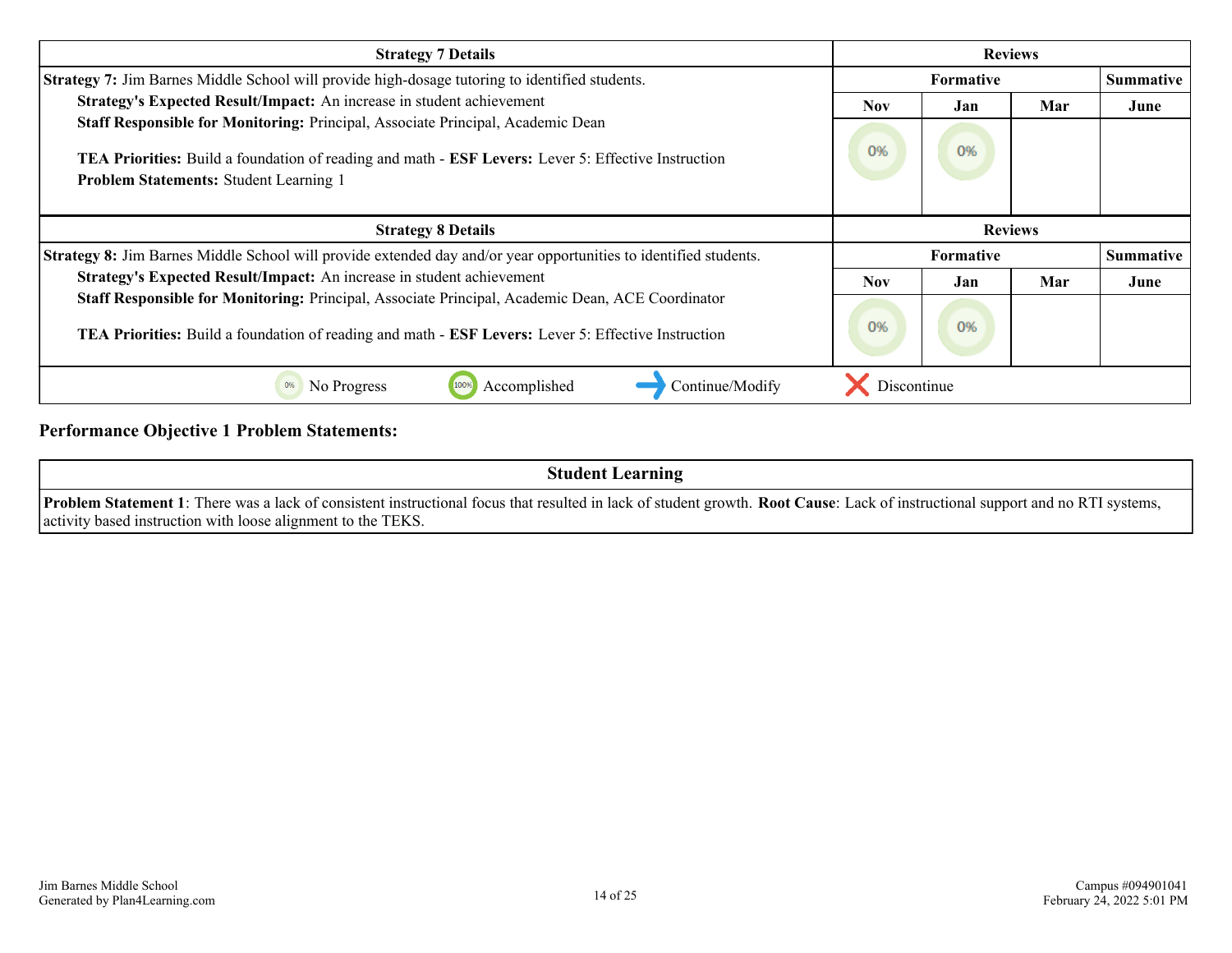| <b>Strategy 7 Details</b><br><b>Reviews</b>                                                                                                                                                                                                    |                  |     |     |                  |
|------------------------------------------------------------------------------------------------------------------------------------------------------------------------------------------------------------------------------------------------|------------------|-----|-----|------------------|
| Strategy 7: Jim Barnes Middle School will provide high-dosage tutoring to identified students.                                                                                                                                                 | <b>Formative</b> |     |     | <b>Summative</b> |
| Strategy's Expected Result/Impact: An increase in student achievement                                                                                                                                                                          | <b>Nov</b>       | Jan | Mar | June             |
| Staff Responsible for Monitoring: Principal, Associate Principal, Academic Dean<br><b>TEA Priorities:</b> Build a foundation of reading and math - <b>ESF Levers:</b> Lever 5: Effective Instruction<br>Problem Statements: Student Learning 1 | 0%               | 0%  |     |                  |
| <b>Strategy 8 Details</b>                                                                                                                                                                                                                      | <b>Reviews</b>   |     |     |                  |
| Strategy 8: Jim Barnes Middle School will provide extended day and/or year opportunities to identified students.<br><b>Formative</b>                                                                                                           |                  |     |     | Summative        |
| Strategy's Expected Result/Impact: An increase in student achievement                                                                                                                                                                          | <b>Nov</b>       | Jan | Mar | June             |
| Staff Responsible for Monitoring: Principal, Associate Principal, Academic Dean, ACE Coordinator<br>TEA Priorities: Build a foundation of reading and math - ESF Levers: Lever 5: Effective Instruction                                        | 0%               | 0%  |     |                  |
| Accomplished<br>Continue/Modify<br>0%<br>No Progress                                                                                                                                                                                           | Discontinue      |     |     |                  |

### **Performance Objective 1 Problem Statements:**

| <b>Student Learning</b>                                                                                                                                                                                                                                |
|--------------------------------------------------------------------------------------------------------------------------------------------------------------------------------------------------------------------------------------------------------|
| <b>Problem Statement 1</b> : There was a lack of consistent instructional focus that resulted in lack of student growth. Root Cause: Lack of instructional support and no RTI systems,<br>activity based instruction with loose alignment to the TEKS. |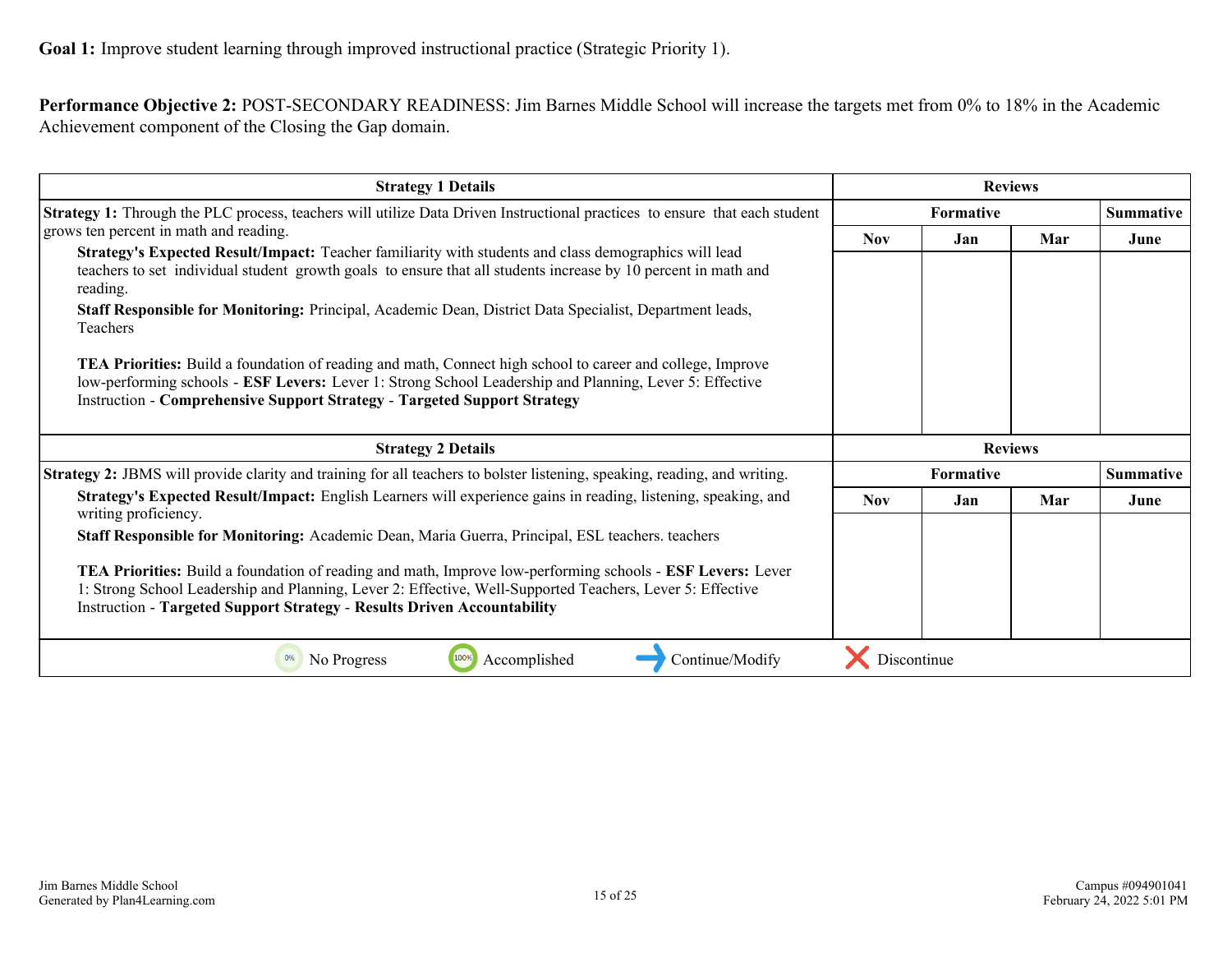**Performance Objective 2:** POST-SECONDARY READINESS: Jim Barnes Middle School will increase the targets met from 0% to 18% in the Academic Achievement component of the Closing the Gap domain.

| <b>Strategy 1 Details</b>                                                                                                                                                                                                                                                                                       |             |                  | <b>Reviews</b> |           |
|-----------------------------------------------------------------------------------------------------------------------------------------------------------------------------------------------------------------------------------------------------------------------------------------------------------------|-------------|------------------|----------------|-----------|
| <b>Strategy 1:</b> Through the PLC process, teachers will utilize Data Driven Instructional practices to ensure that each student                                                                                                                                                                               |             | <b>Summative</b> |                |           |
| grows ten percent in math and reading.                                                                                                                                                                                                                                                                          | Nov.        | Jan              | Mar            | June      |
| Strategy's Expected Result/Impact: Teacher familiarity with students and class demographics will lead<br>teachers to set individual student growth goals to ensure that all students increase by 10 percent in math and<br>reading.                                                                             |             |                  |                |           |
| Staff Responsible for Monitoring: Principal, Academic Dean, District Data Specialist, Department leads,<br>Teachers                                                                                                                                                                                             |             |                  |                |           |
| <b>TEA Priorities:</b> Build a foundation of reading and math, Connect high school to career and college, Improve<br>low-performing schools - ESF Levers: Lever 1: Strong School Leadership and Planning, Lever 5: Effective<br><b>Instruction - Comprehensive Support Strategy - Targeted Support Strategy</b> |             |                  |                |           |
| <b>Strategy 2 Details</b>                                                                                                                                                                                                                                                                                       |             |                  | <b>Reviews</b> |           |
| <b>Strategy 2:</b> JBMS will provide clarity and training for all teachers to bolster listening, speaking, reading, and writing.                                                                                                                                                                                |             | <b>Formative</b> |                | Summative |
| Strategy's Expected Result/Impact: English Learners will experience gains in reading, listening, speaking, and<br>writing proficiency.                                                                                                                                                                          | <b>Nov</b>  | Jan              | Mar            | June      |
| Staff Responsible for Monitoring: Academic Dean, Maria Guerra, Principal, ESL teachers. teachers                                                                                                                                                                                                                |             |                  |                |           |
| TEA Priorities: Build a foundation of reading and math, Improve low-performing schools - ESF Levers: Lever<br>1: Strong School Leadership and Planning, Lever 2: Effective, Well-Supported Teachers, Lever 5: Effective<br><b>Instruction - Targeted Support Strategy - Results Driven Accountability</b>       |             |                  |                |           |
| 100%<br>Accomplished<br>Continue/Modify<br>No Progress<br>0%                                                                                                                                                                                                                                                    | Discontinue |                  |                |           |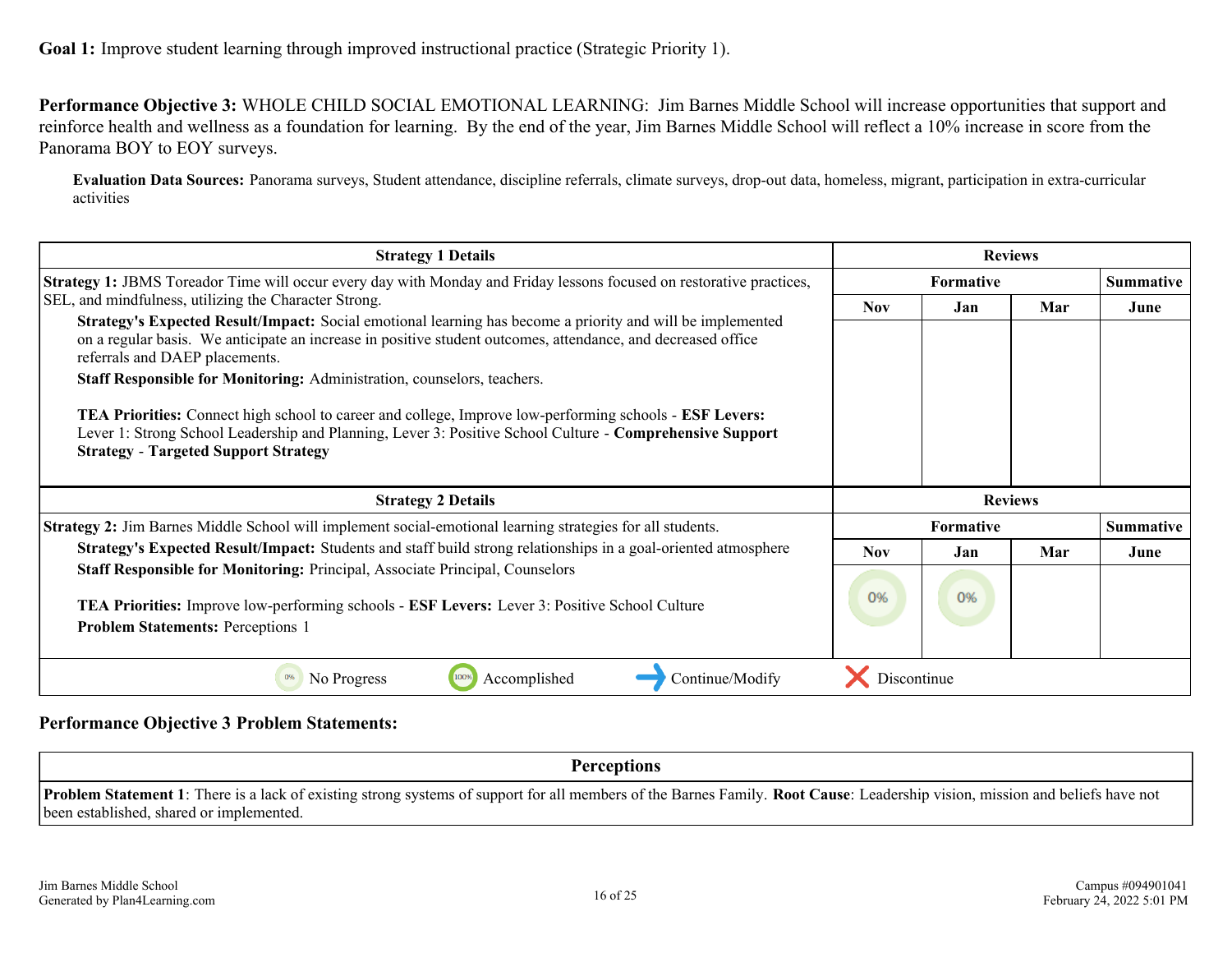**Performance Objective 3:** WHOLE CHILD SOCIAL EMOTIONAL LEARNING: Jim Barnes Middle School will increase opportunities that support and reinforce health and wellness as a foundation for learning. By the end of the year, Jim Barnes Middle School will reflect a 10% increase in score from the Panorama BOY to EOY surveys.

**Evaluation Data Sources:** Panorama surveys, Student attendance, discipline referrals, climate surveys, drop-out data, homeless, migrant, participation in extra-curricular activities

| <b>Strategy 1 Details</b>                                                                                                                                                                                                                                                                                                                                                                                                                                                                                                                                                                                                                                                            |                  | <b>Reviews</b>   |      |           |
|--------------------------------------------------------------------------------------------------------------------------------------------------------------------------------------------------------------------------------------------------------------------------------------------------------------------------------------------------------------------------------------------------------------------------------------------------------------------------------------------------------------------------------------------------------------------------------------------------------------------------------------------------------------------------------------|------------------|------------------|------|-----------|
| <b>Strategy 1: JBMS</b> Toreador Time will occur every day with Monday and Friday lessons focused on restorative practices,                                                                                                                                                                                                                                                                                                                                                                                                                                                                                                                                                          |                  | <b>Summative</b> |      |           |
| SEL, and mindfulness, utilizing the Character Strong.<br>Strategy's Expected Result/Impact: Social emotional learning has become a priority and will be implemented<br>on a regular basis. We anticipate an increase in positive student outcomes, attendance, and decreased office<br>referrals and DAEP placements.<br>Staff Responsible for Monitoring: Administration, counselors, teachers.<br><b>TEA Priorities:</b> Connect high school to career and college, Improve low-performing schools - <b>ESF Levers:</b><br>Lever 1: Strong School Leadership and Planning, Lever 3: Positive School Culture - Comprehensive Support<br><b>Strategy - Targeted Support Strategy</b> | Jan              | Mar              | June |           |
| <b>Strategy 2 Details</b>                                                                                                                                                                                                                                                                                                                                                                                                                                                                                                                                                                                                                                                            |                  | <b>Reviews</b>   |      |           |
| Strategy 2: Jim Barnes Middle School will implement social-emotional learning strategies for all students.                                                                                                                                                                                                                                                                                                                                                                                                                                                                                                                                                                           | <b>Formative</b> |                  |      | Summative |
| Strategy's Expected Result/Impact: Students and staff build strong relationships in a goal-oriented atmosphere                                                                                                                                                                                                                                                                                                                                                                                                                                                                                                                                                                       | <b>Nov</b>       | Jan.             | Mar  | June      |
| Staff Responsible for Monitoring: Principal, Associate Principal, Counselors<br><b>TEA Priorities:</b> Improve low-performing schools - <b>ESF Levers:</b> Lever 3: Positive School Culture<br><b>Problem Statements: Perceptions 1</b>                                                                                                                                                                                                                                                                                                                                                                                                                                              | 0%               | 0%               |      |           |
| No Progress<br>1009<br>Accomplished<br>Continue/Modify<br>0%                                                                                                                                                                                                                                                                                                                                                                                                                                                                                                                                                                                                                         | Discontinue      |                  |      |           |

### **Performance Objective 3 Problem Statements:**

**Perceptions**

**Problem Statement 1**: There is a lack of existing strong systems of support for all members of the Barnes Family. **Root Cause**: Leadership vision, mission and beliefs have not been established, shared or implemented.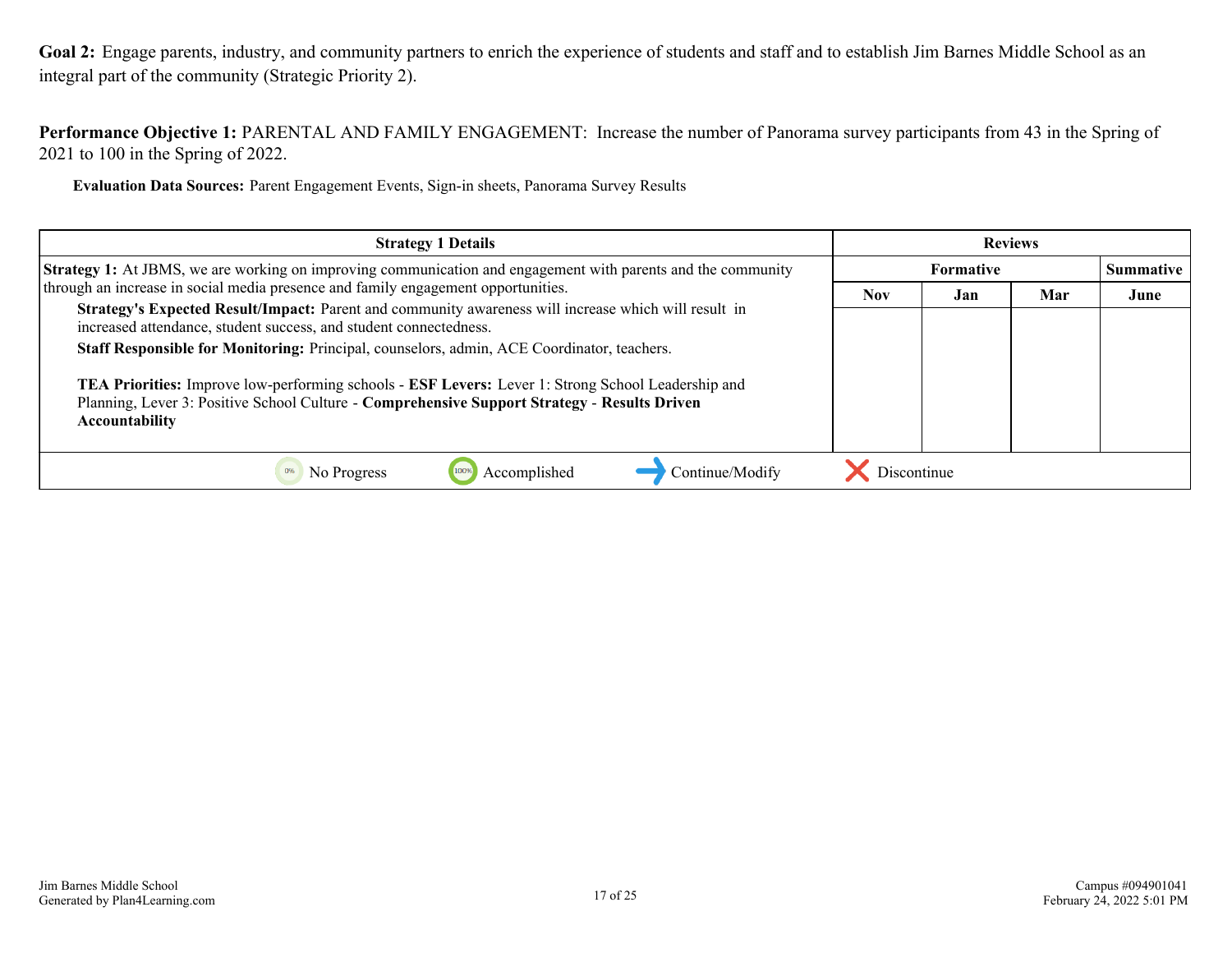<span id="page-16-0"></span>Goal 2: Engage parents, industry, and community partners to enrich the experience of students and staff and to establish Jim Barnes Middle School as an integral part of the community (Strategic Priority 2).

**Performance Objective 1:** PARENTAL AND FAMILY ENGAGEMENT: Increase the number of Panorama survey participants from 43 in the Spring of 2021 to 100 in the Spring of 2022.

**Evaluation Data Sources:** Parent Engagement Events, Sign-in sheets, Panorama Survey Results

| <b>Strategy 1 Details</b>                                                                                                                                                                                                                 |             |           | <b>Reviews</b> |      |
|-------------------------------------------------------------------------------------------------------------------------------------------------------------------------------------------------------------------------------------------|-------------|-----------|----------------|------|
| Strategy 1: At JBMS, we are working on improving communication and engagement with parents and the community                                                                                                                              |             | Summative |                |      |
| through an increase in social media presence and family engagement opportunities.                                                                                                                                                         | <b>Nov</b>  | Jan       | Mar            | June |
| Strategy's Expected Result/Impact: Parent and community awareness will increase which will result in<br>increased attendance, student success, and student connectedness.                                                                 |             |           |                |      |
| Staff Responsible for Monitoring: Principal, counselors, admin, ACE Coordinator, teachers.                                                                                                                                                |             |           |                |      |
| <b>TEA Priorities:</b> Improve low-performing schools - <b>ESF Levers:</b> Lever 1: Strong School Leadership and<br>Planning, Lever 3: Positive School Culture - Comprehensive Support Strategy - Results Driven<br><b>Accountability</b> |             |           |                |      |
| Accomplished<br>Continue/Modify<br>No Progress                                                                                                                                                                                            | Discontinue |           |                |      |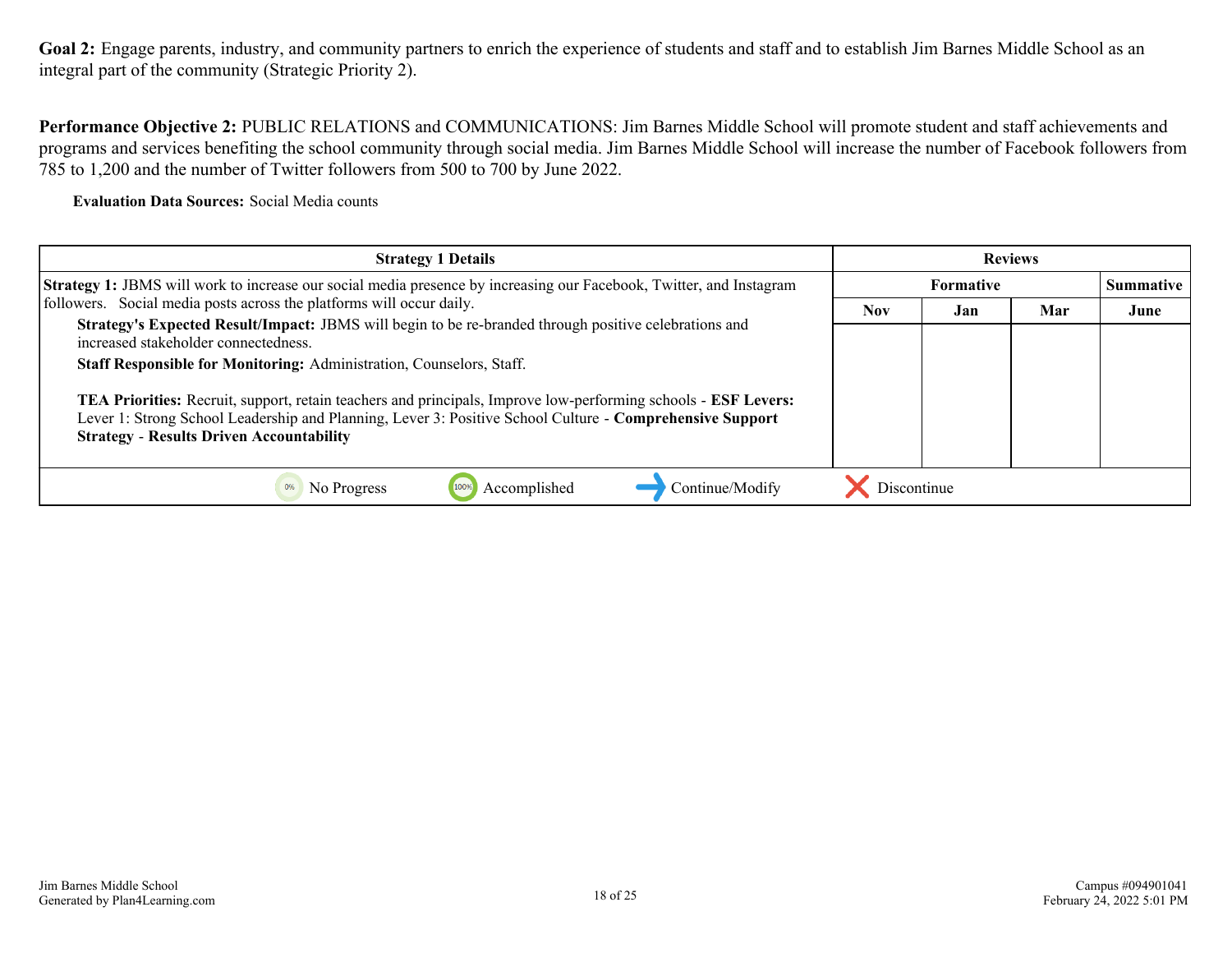Goal 2: Engage parents, industry, and community partners to enrich the experience of students and staff and to establish Jim Barnes Middle School as an integral part of the community (Strategic Priority 2).

**Performance Objective 2:** PUBLIC RELATIONS and COMMUNICATIONS: Jim Barnes Middle School will promote student and staff achievements and programs and services benefiting the school community through social media. Jim Barnes Middle School will increase the number of Facebook followers from 785 to 1,200 and the number of Twitter followers from 500 to 700 by June 2022.

**Evaluation Data Sources:** Social Media counts

| <b>Strategy 1 Details</b>                                                                                                                                                                                                                                                     |                                      | <b>Reviews</b> |     |      |
|-------------------------------------------------------------------------------------------------------------------------------------------------------------------------------------------------------------------------------------------------------------------------------|--------------------------------------|----------------|-----|------|
| <b>Strategy 1: JBMS</b> will work to increase our social media presence by increasing our Facebook, Twitter, and Instagram                                                                                                                                                    | <b>Summative</b><br><b>Formative</b> |                |     |      |
| followers. Social media posts across the platforms will occur daily.                                                                                                                                                                                                          | <b>Nov</b>                           | Jan            | Mar | June |
| Strategy's Expected Result/Impact: JBMS will begin to be re-branded through positive celebrations and<br>increased stakeholder connectedness.                                                                                                                                 |                                      |                |     |      |
| Staff Responsible for Monitoring: Administration, Counselors, Staff.                                                                                                                                                                                                          |                                      |                |     |      |
| TEA Priorities: Recruit, support, retain teachers and principals, Improve low-performing schools - ESF Levers:<br>Lever 1: Strong School Leadership and Planning, Lever 3: Positive School Culture - Comprehensive Support<br><b>Strategy - Results Driven Accountability</b> |                                      |                |     |      |
| Continue/Modify<br>Accomplished<br>No Progress                                                                                                                                                                                                                                | Discontinue                          |                |     |      |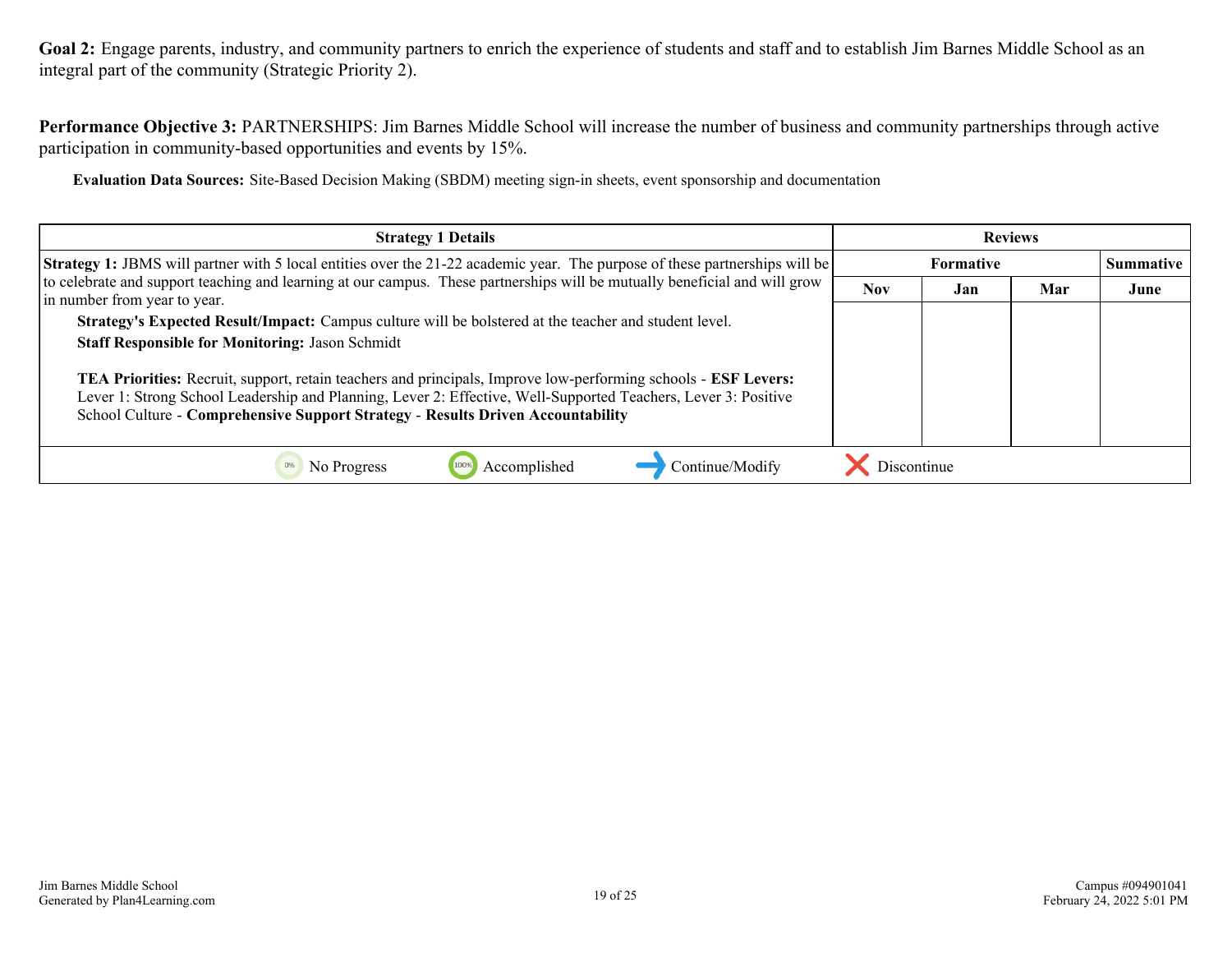Goal 2: Engage parents, industry, and community partners to enrich the experience of students and staff and to establish Jim Barnes Middle School as an integral part of the community (Strategic Priority 2).

**Performance Objective 3:** PARTNERSHIPS: Jim Barnes Middle School will increase the number of business and community partnerships through active participation in community-based opportunities and events by 15%.

**Evaluation Data Sources:** Site-Based Decision Making (SBDM) meeting sign-in sheets, event sponsorship and documentation

| <b>Strategy 1 Details</b>                                                                                                                                                                                                                                                                                           |                          |                  | <b>Reviews</b> |  |  |      |
|---------------------------------------------------------------------------------------------------------------------------------------------------------------------------------------------------------------------------------------------------------------------------------------------------------------------|--------------------------|------------------|----------------|--|--|------|
| Strategy 1: JBMS will partner with 5 local entities over the 21-22 academic year. The purpose of these partnerships will be                                                                                                                                                                                         |                          | <b>Summative</b> |                |  |  |      |
| to celebrate and support teaching and learning at our campus. These partnerships will be mutually beneficial and will grow<br>in number from year to year.                                                                                                                                                          | <b>Nov</b><br>Mar<br>Jan |                  |                |  |  | June |
| Strategy's Expected Result/Impact: Campus culture will be bolstered at the teacher and student level.                                                                                                                                                                                                               |                          |                  |                |  |  |      |
| <b>Staff Responsible for Monitoring: Jason Schmidt</b>                                                                                                                                                                                                                                                              |                          |                  |                |  |  |      |
| TEA Priorities: Recruit, support, retain teachers and principals, Improve low-performing schools - ESF Levers:<br>Lever 1: Strong School Leadership and Planning, Lever 2: Effective, Well-Supported Teachers, Lever 3: Positive<br>School Culture - Comprehensive Support Strategy - Results Driven Accountability |                          |                  |                |  |  |      |
| Continue/Modify<br>No Progress<br>Accomplished                                                                                                                                                                                                                                                                      | Discontinue              |                  |                |  |  |      |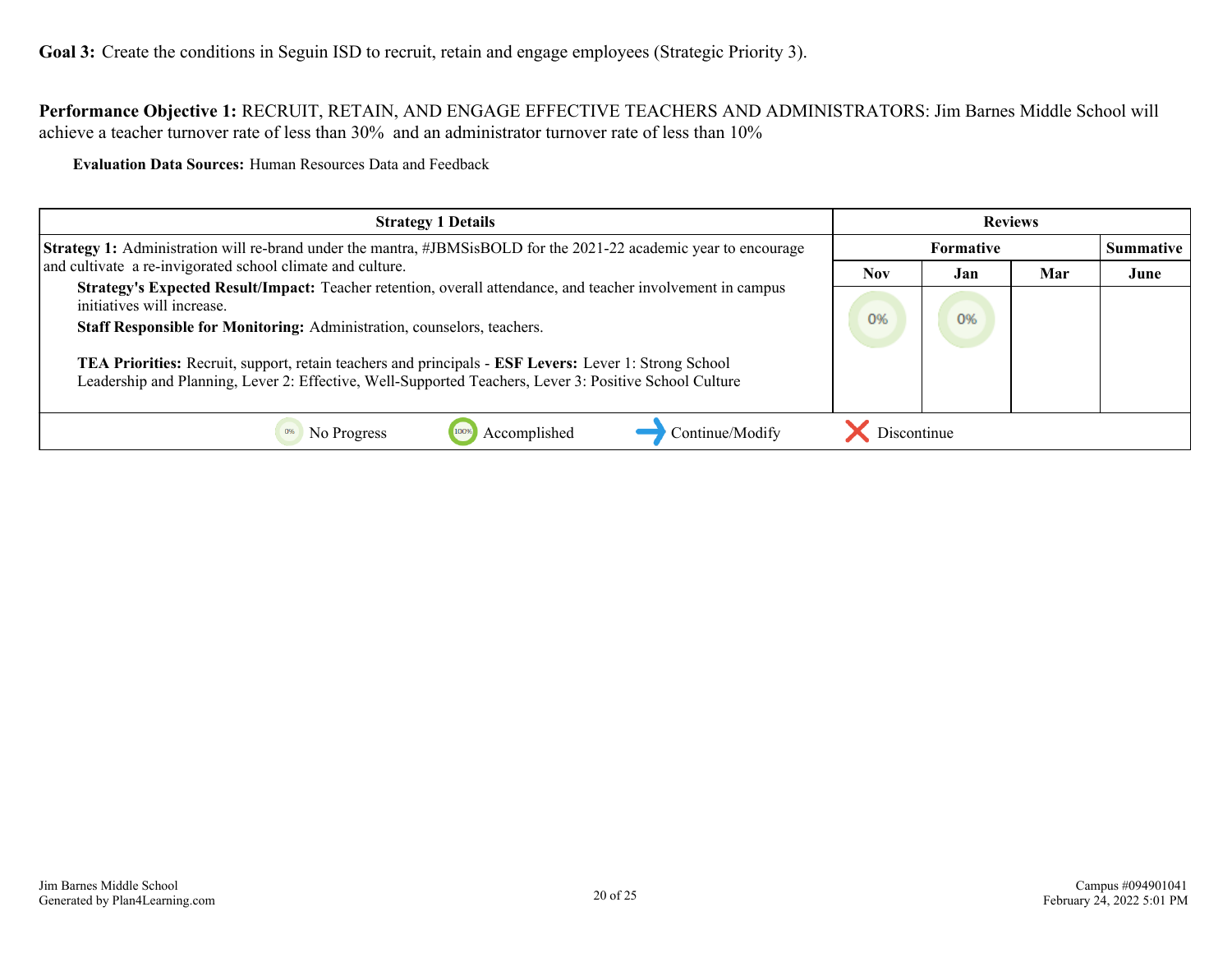<span id="page-19-0"></span>**Performance Objective 1:** RECRUIT, RETAIN, AND ENGAGE EFFECTIVE TEACHERS AND ADMINISTRATORS: Jim Barnes Middle School will achieve a teacher turnover rate of less than 30% and an administrator turnover rate of less than 10%

**Evaluation Data Sources:** Human Resources Data and Feedback

| <b>Strategy 1 Details</b>                                                                                                                                                                                            |             |                  | <b>Reviews</b> |      |
|----------------------------------------------------------------------------------------------------------------------------------------------------------------------------------------------------------------------|-------------|------------------|----------------|------|
| <b>Strategy 1:</b> Administration will re-brand under the mantra, #JBMSisBOLD for the 2021-22 academic year to encourage                                                                                             |             | <b>Summative</b> |                |      |
| and cultivate a re-invigorated school climate and culture.                                                                                                                                                           | <b>Nov</b>  | Jan              | Mar            | June |
| Strategy's Expected Result/Impact: Teacher retention, overall attendance, and teacher involvement in campus<br>initiatives will increase.<br>Staff Responsible for Monitoring: Administration, counselors, teachers. | 0%          | O <sub>96</sub>  |                |      |
| TEA Priorities: Recruit, support, retain teachers and principals - ESF Levers: Lever 1: Strong School<br>Leadership and Planning, Lever 2: Effective, Well-Supported Teachers, Lever 3: Positive School Culture      |             |                  |                |      |
| Continue/Modify<br>Accomplished<br>No Progress                                                                                                                                                                       | Discontinue |                  |                |      |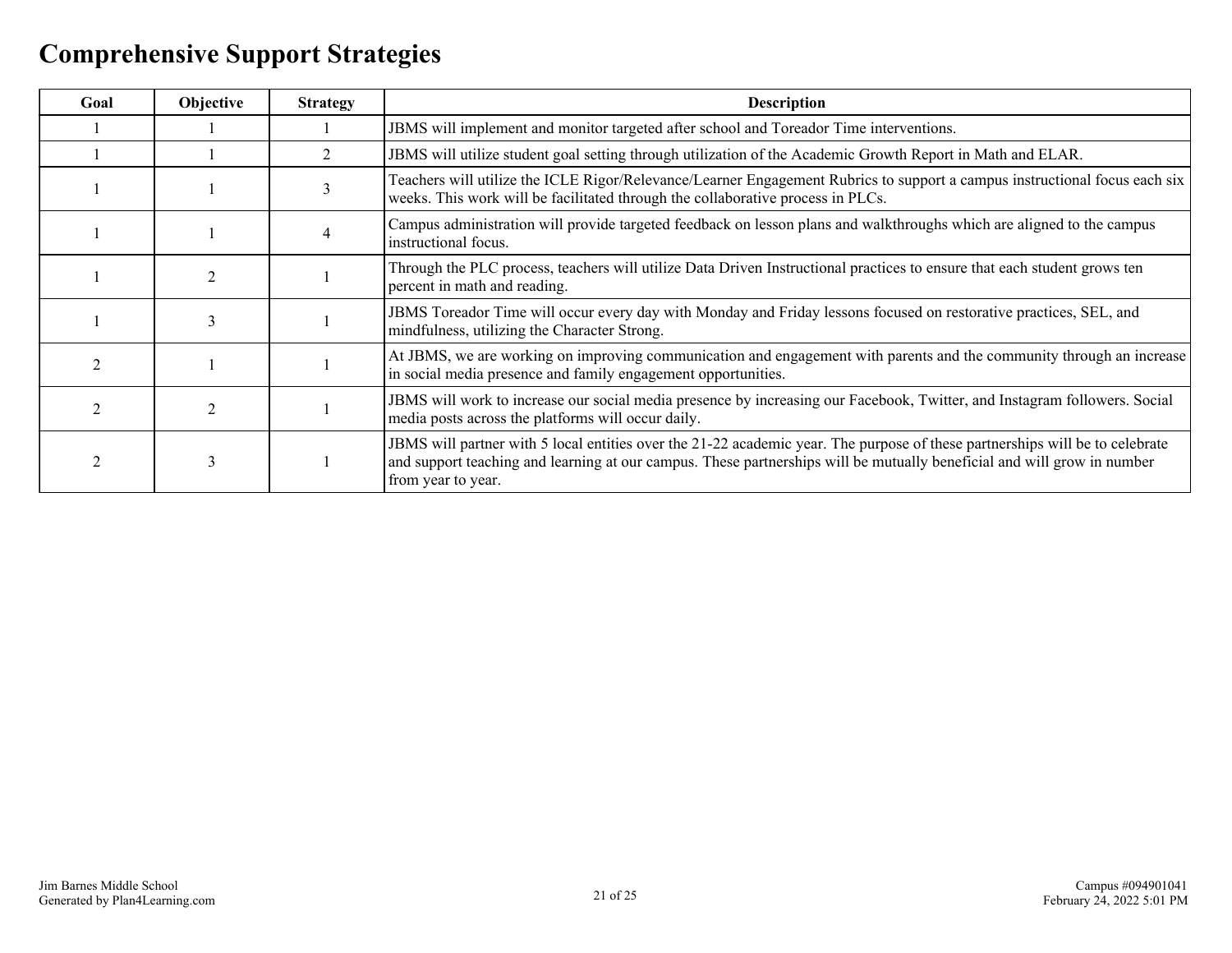## <span id="page-20-0"></span>**Comprehensive Support Strategies**

| Goal | Objective     | <b>Strategy</b> | <b>Description</b>                                                                                                                                                                                                                                                            |
|------|---------------|-----------------|-------------------------------------------------------------------------------------------------------------------------------------------------------------------------------------------------------------------------------------------------------------------------------|
|      |               |                 | JBMS will implement and monitor targeted after school and Toreador Time interventions.                                                                                                                                                                                        |
|      |               | $\overline{2}$  | JBMS will utilize student goal setting through utilization of the Academic Growth Report in Math and ELAR.                                                                                                                                                                    |
|      |               |                 | Teachers will utilize the ICLE Rigor/Relevance/Learner Engagement Rubrics to support a campus instructional focus each six<br>weeks. This work will be facilitated through the collaborative process in PLCs.                                                                 |
|      |               |                 | Campus administration will provide targeted feedback on lesson plans and walkthroughs which are aligned to the campus<br>instructional focus.                                                                                                                                 |
|      |               |                 | Through the PLC process, teachers will utilize Data Driven Instructional practices to ensure that each student grows ten<br>percent in math and reading.                                                                                                                      |
|      |               |                 | JBMS Toreador Time will occur every day with Monday and Friday lessons focused on restorative practices, SEL, and<br>mindfulness, utilizing the Character Strong.                                                                                                             |
|      |               |                 | At JBMS, we are working on improving communication and engagement with parents and the community through an increase<br>in social media presence and family engagement opportunities.                                                                                         |
|      |               |                 | JBMS will work to increase our social media presence by increasing our Facebook, Twitter, and Instagram followers. Social<br>media posts across the platforms will occur daily.                                                                                               |
|      | $\rightarrow$ |                 | JBMS will partner with 5 local entities over the 21-22 academic year. The purpose of these partnerships will be to celebrate<br>and support teaching and learning at our campus. These partnerships will be mutually beneficial and will grow in number<br>from year to year. |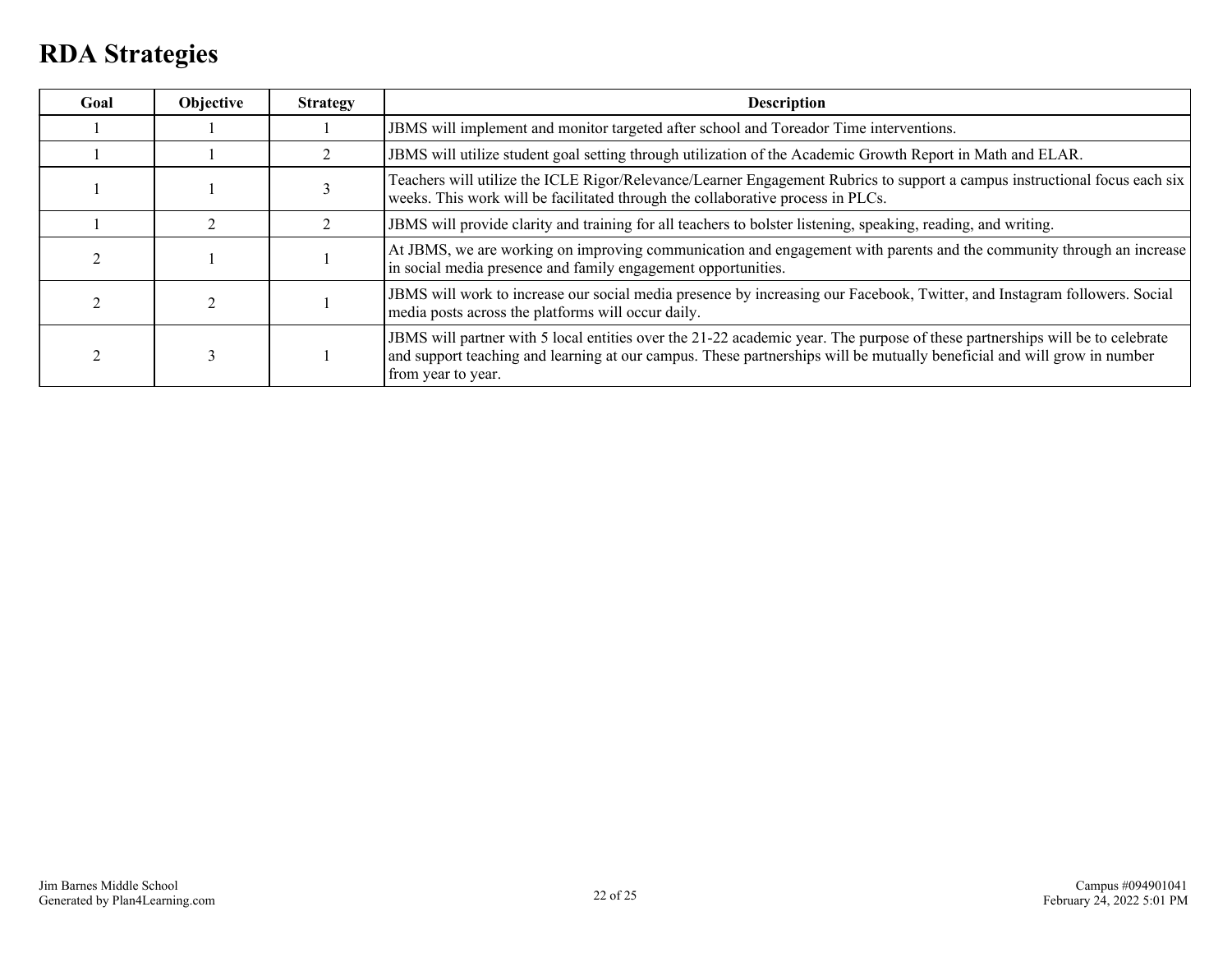### <span id="page-21-0"></span>**RDA Strategies**

| Goal | Objective | <b>Strategy</b> | <b>Description</b>                                                                                                                                                                                                                                                            |
|------|-----------|-----------------|-------------------------------------------------------------------------------------------------------------------------------------------------------------------------------------------------------------------------------------------------------------------------------|
|      |           |                 | JBMS will implement and monitor targeted after school and Toreador Time interventions.                                                                                                                                                                                        |
|      |           |                 | JBMS will utilize student goal setting through utilization of the Academic Growth Report in Math and ELAR.                                                                                                                                                                    |
|      |           |                 | Teachers will utilize the ICLE Rigor/Relevance/Learner Engagement Rubrics to support a campus instructional focus each six<br>weeks. This work will be facilitated through the collaborative process in PLCs.                                                                 |
|      |           |                 | JBMS will provide clarity and training for all teachers to bolster listening, speaking, reading, and writing.                                                                                                                                                                 |
|      |           |                 | At JBMS, we are working on improving communication and engagement with parents and the community through an increase<br>in social media presence and family engagement opportunities.                                                                                         |
|      |           |                 | JBMS will work to increase our social media presence by increasing our Facebook, Twitter, and Instagram followers. Social<br>media posts across the platforms will occur daily.                                                                                               |
|      |           |                 | JBMS will partner with 5 local entities over the 21-22 academic year. The purpose of these partnerships will be to celebrate<br>and support teaching and learning at our campus. These partnerships will be mutually beneficial and will grow in number<br>from year to year. |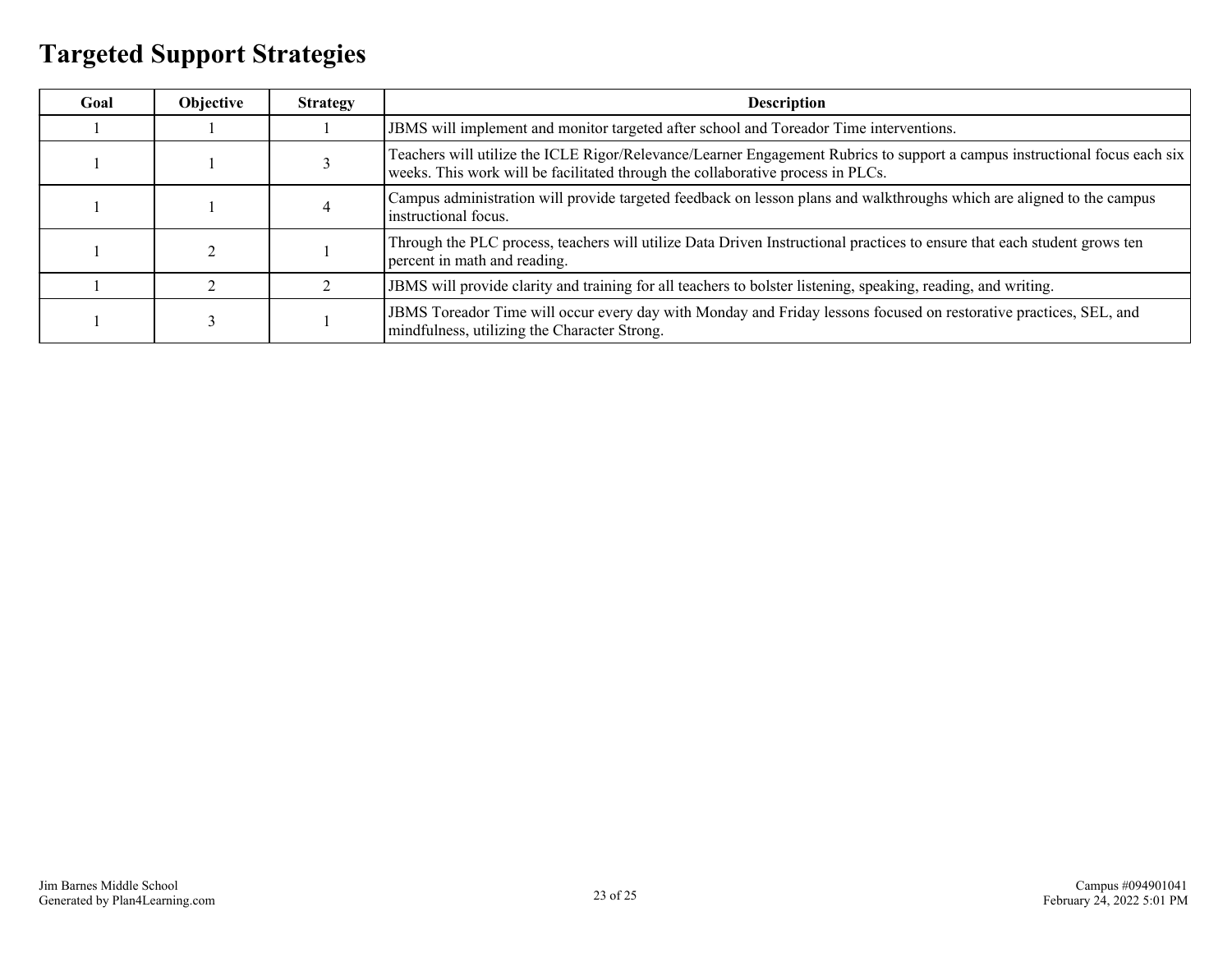## <span id="page-22-0"></span>**Targeted Support Strategies**

| Goal | Objective | <b>Strategy</b> | <b>Description</b>                                                                                                                                                                                            |
|------|-----------|-----------------|---------------------------------------------------------------------------------------------------------------------------------------------------------------------------------------------------------------|
|      |           |                 | JBMS will implement and monitor targeted after school and Toreador Time interventions.                                                                                                                        |
|      |           |                 | Teachers will utilize the ICLE Rigor/Relevance/Learner Engagement Rubrics to support a campus instructional focus each six<br>weeks. This work will be facilitated through the collaborative process in PLCs. |
|      |           |                 | Campus administration will provide targeted feedback on lesson plans and walkthroughs which are aligned to the campus<br>instructional focus.                                                                 |
|      |           |                 | Through the PLC process, teachers will utilize Data Driven Instructional practices to ensure that each student grows ten<br>percent in math and reading.                                                      |
|      |           |                 | JBMS will provide clarity and training for all teachers to bolster listening, speaking, reading, and writing.                                                                                                 |
|      |           |                 | JBMS Toreador Time will occur every day with Monday and Friday lessons focused on restorative practices, SEL, and<br>mindfulness, utilizing the Character Strong.                                             |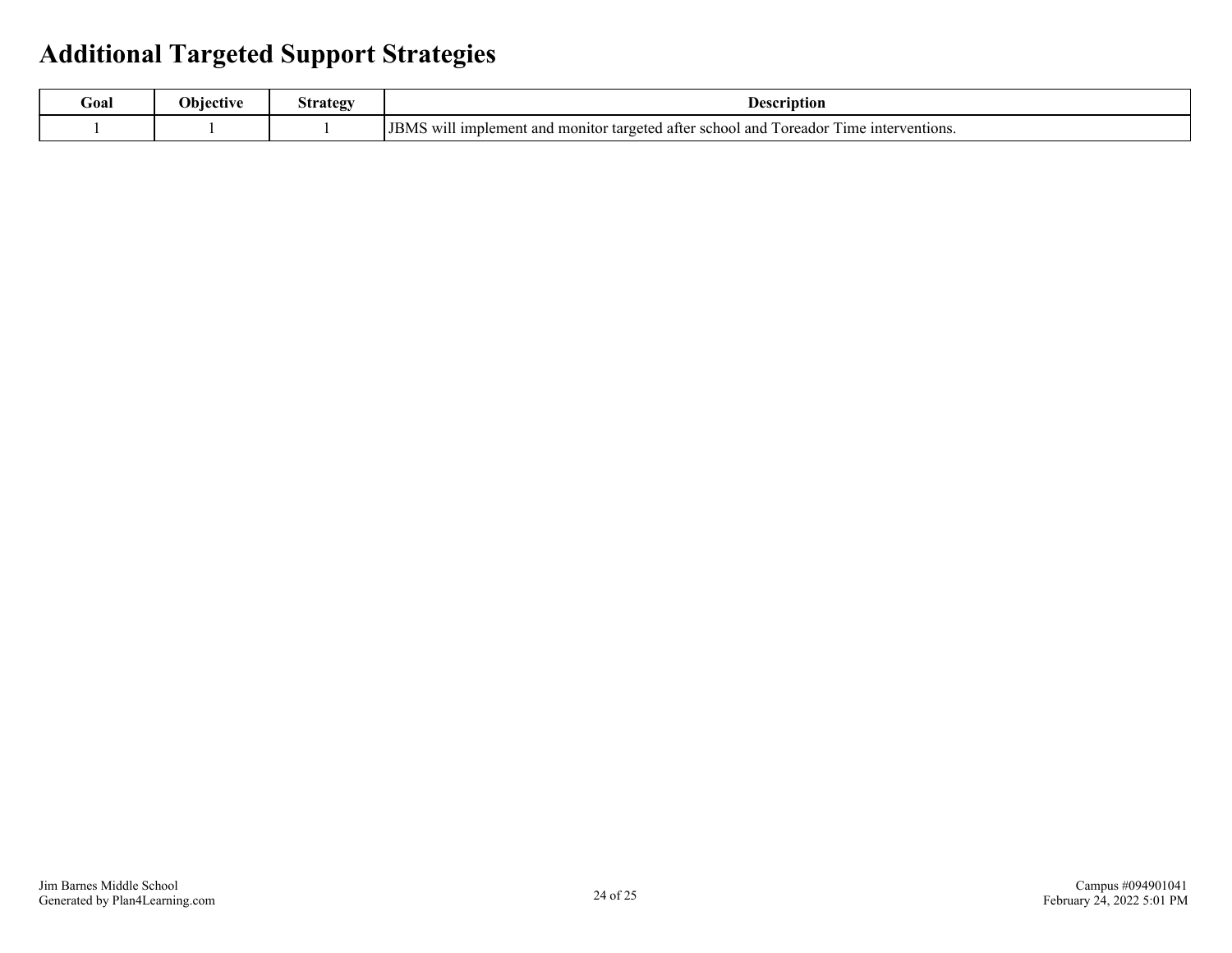### <span id="page-23-0"></span>**Additional Targeted Support Strategies**

| Goal | <b>Objective</b> | ategy<br>ิ⇔∙ | Description                                                                                                                                                         |
|------|------------------|--------------|---------------------------------------------------------------------------------------------------------------------------------------------------------------------|
|      |                  |              | <b></b><br><b>I</b> JBMS<br>l and<br>a imp'<br>unterventions.<br>plement<br>l monitor targeted<br>i after school<br>Toreador<br>Time<br><b>TTT</b><br>and<br>VV I I |